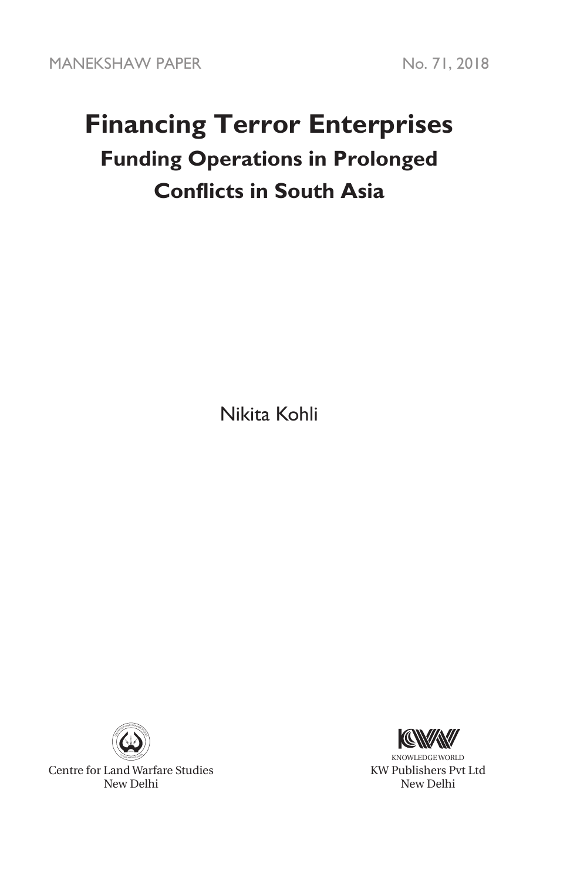# **Financing Terror Enterprises Funding Operations in Prolonged Conflicts in South Asia**

Nikita Kohli



Centre for Land Warfare Studies New Delhi



KNOWLEDGE WORLD KW Publishers Pvt Ltd New Delhi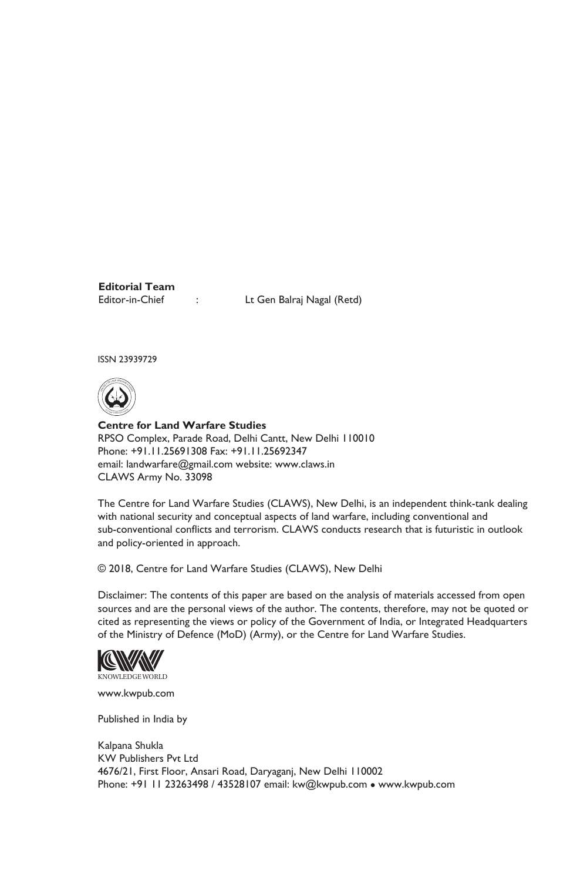**Editorial Team**

Editor-in-Chief : Lt Gen Balraj Nagal (Retd)

ISSN 23939729



**Centre for Land Warfare Studies**  RPSO Complex, Parade Road, Delhi Cantt, New Delhi 110010 Phone: +91.11.25691308 Fax: +91.11.25692347 email: landwarfare@gmail.com website: www.claws.in CLAWS Army No. 33098

The Centre for Land Warfare Studies (CLAWS), New Delhi, is an independent think-tank dealing with national security and conceptual aspects of land warfare, including conventional and sub-conventional conflicts and terrorism. CLAWS conducts research that is futuristic in outlook and policy-oriented in approach.

© 2018, Centre for Land Warfare Studies (CLAWS), New Delhi

Disclaimer: The contents of this paper are based on the analysis of materials accessed from open sources and are the personal views of the author. The contents, therefore, may not be quoted or cited as representing the views or policy of the Government of India, or Integrated Headquarters of the Ministry of Defence (MoD) (Army), or the Centre for Land Warfare Studies.



www.kwpub.com

Published in India by

Kalpana Shukla KW Publishers Pvt Ltd 4676/21, First Floor, Ansari Road, Daryaganj, New Delhi 110002 Phone: +91 11 23263498 / 43528107 email: kw@kwpub.com · www.kwpub.com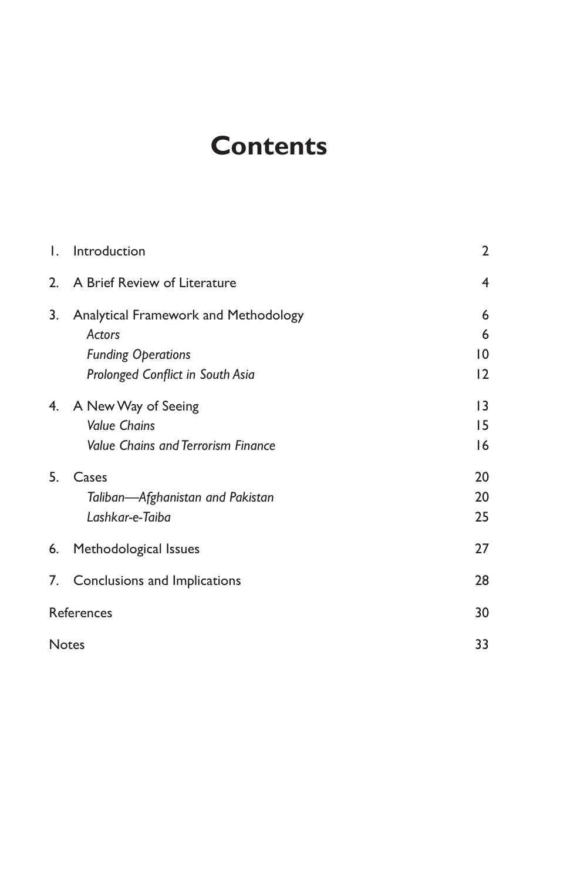# **Contents**

| Ι.         | Introduction                              | 2              |
|------------|-------------------------------------------|----------------|
| 2.         | A Brief Review of Literature              | $\overline{4}$ |
| 3.         | Analytical Framework and Methodology      | 6              |
|            | Actors                                    | 6              |
|            | <b>Funding Operations</b>                 | 10             |
|            | Prolonged Conflict in South Asia          | 12             |
|            | 4. A New Way of Seeing                    | 13             |
|            | <b>Value Chains</b>                       | 15             |
|            | <b>Value Chains and Terrorism Finance</b> | 16             |
| 5.         | Cases                                     | 20             |
|            | Taliban-Afghanistan and Pakistan          | 20             |
|            | Lashkar-e-Taiba                           | 25             |
|            | 6. Methodological Issues                  | 27             |
|            | 7. Conclusions and Implications           | 28             |
| References |                                           | 30             |
|            | <b>Notes</b>                              | 33             |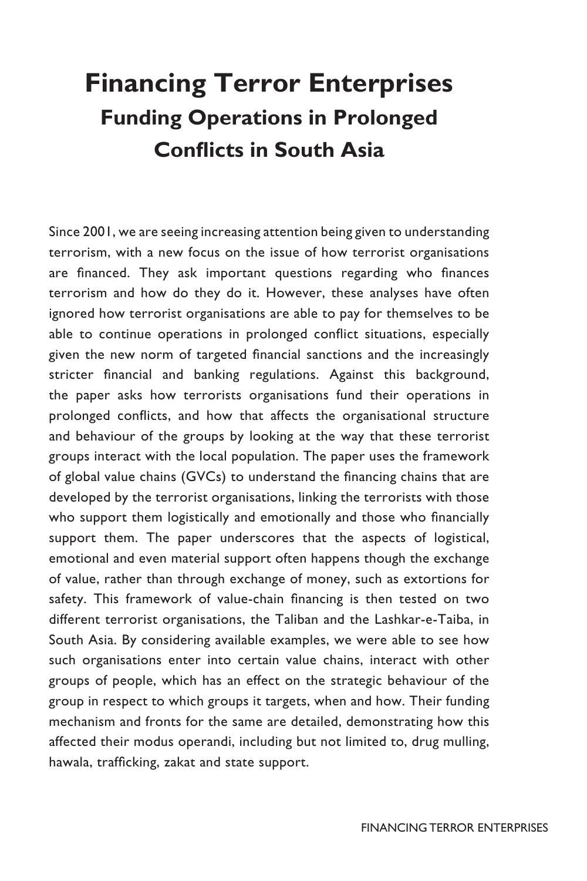# **Financing Terror Enterprises Funding Operations in Prolonged Conflicts in South Asia**

Since 2001, we are seeing increasing attention being given to understanding terrorism, with a new focus on the issue of how terrorist organisations are financed. They ask important questions regarding who finances terrorism and how do they do it. However, these analyses have often ignored how terrorist organisations are able to pay for themselves to be able to continue operations in prolonged conflict situations, especially given the new norm of targeted financial sanctions and the increasingly stricter financial and banking regulations. Against this background, the paper asks how terrorists organisations fund their operations in prolonged conflicts, and how that affects the organisational structure and behaviour of the groups by looking at the way that these terrorist groups interact with the local population. The paper uses the framework of global value chains (GVCs) to understand the financing chains that are developed by the terrorist organisations, linking the terrorists with those who support them logistically and emotionally and those who financially support them. The paper underscores that the aspects of logistical, emotional and even material support often happens though the exchange of value, rather than through exchange of money, such as extortions for safety. This framework of value-chain financing is then tested on two different terrorist organisations, the Taliban and the Lashkar-e-Taiba, in South Asia. By considering available examples, we were able to see how such organisations enter into certain value chains, interact with other groups of people, which has an effect on the strategic behaviour of the group in respect to which groups it targets, when and how. Their funding mechanism and fronts for the same are detailed, demonstrating how this affected their modus operandi, including but not limited to, drug mulling, hawala, trafficking, zakat and state support.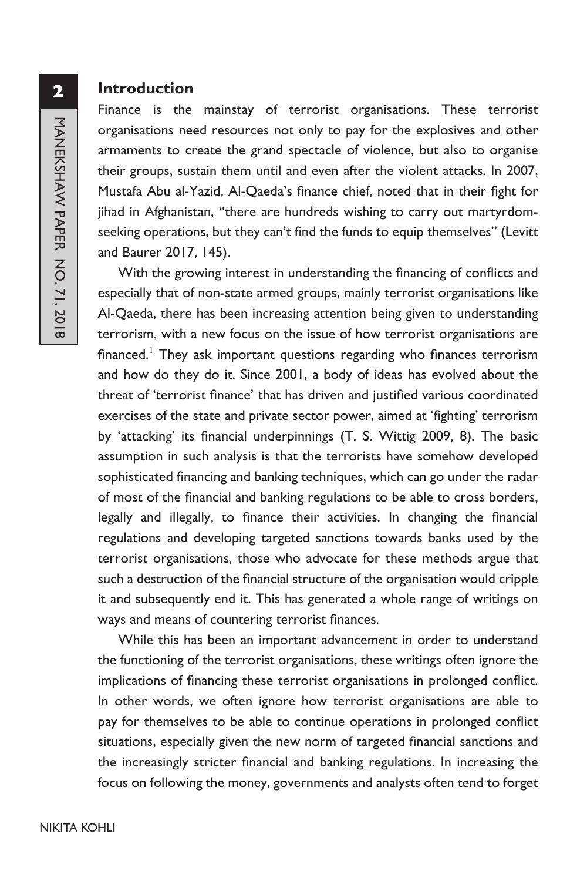#### **Introduction**

Finance is the mainstay of terrorist organisations. These terrorist organisations need resources not only to pay for the explosives and other armaments to create the grand spectacle of violence, but also to organise their groups, sustain them until and even after the violent attacks. In 2007, Mustafa Abu al-Yazid, Al-Qaeda's finance chief, noted that in their fight for jihad in Afghanistan, "there are hundreds wishing to carry out martyrdomseeking operations, but they can't find the funds to equip themselves" (Levitt and Baurer 2017, 145).

With the growing interest in understanding the financing of conflicts and especially that of non-state armed groups, mainly terrorist organisations like Al-Qaeda, there has been increasing attention being given to understanding terrorism, with a new focus on the issue of how terrorist organisations are financed.<sup>1</sup> They ask important questions regarding who finances terrorism and how do they do it. Since 2001, a body of ideas has evolved about the threat of 'terrorist finance' that has driven and justified various coordinated exercises of the state and private sector power, aimed at 'fighting' terrorism by 'attacking' its financial underpinnings (T. S. Wittig 2009, 8). The basic assumption in such analysis is that the terrorists have somehow developed sophisticated financing and banking techniques, which can go under the radar of most of the financial and banking regulations to be able to cross borders, legally and illegally, to finance their activities. In changing the financial regulations and developing targeted sanctions towards banks used by the terrorist organisations, those who advocate for these methods argue that such a destruction of the financial structure of the organisation would cripple it and subsequently end it. This has generated a whole range of writings on ways and means of countering terrorist finances.

While this has been an important advancement in order to understand the functioning of the terrorist organisations, these writings often ignore the implications of financing these terrorist organisations in prolonged conflict. In other words, we often ignore how terrorist organisations are able to pay for themselves to be able to continue operations in prolonged conflict situations, especially given the new norm of targeted financial sanctions and the increasingly stricter financial and banking regulations. In increasing the focus on following the money, governments and analysts often tend to forget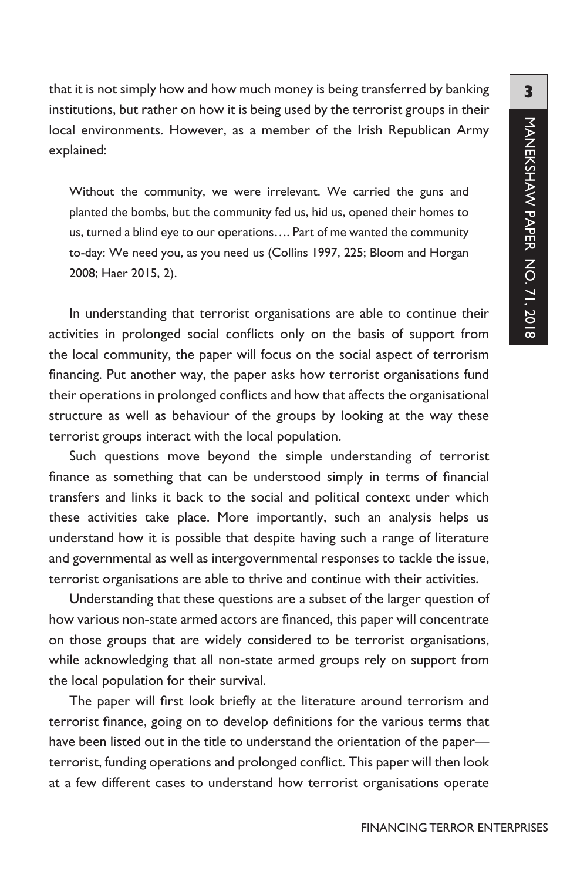that it is not simply how and how much money is being transferred by banking institutions, but rather on how it is being used by the terrorist groups in their local environments. However, as a member of the Irish Republican Army explained:

Without the community, we were irrelevant. We carried the guns and planted the bombs, but the community fed us, hid us, opened their homes to us, turned a blind eye to our operations…. Part of me wanted the community to-day: We need you, as you need us (Collins 1997, 225; Bloom and Horgan 2008; Haer 2015, 2).

In understanding that terrorist organisations are able to continue their activities in prolonged social conflicts only on the basis of support from the local community, the paper will focus on the social aspect of terrorism financing. Put another way, the paper asks how terrorist organisations fund their operations in prolonged conflicts and how that affects the organisational structure as well as behaviour of the groups by looking at the way these terrorist groups interact with the local population.

Such questions move beyond the simple understanding of terrorist finance as something that can be understood simply in terms of financial transfers and links it back to the social and political context under which these activities take place. More importantly, such an analysis helps us understand how it is possible that despite having such a range of literature and governmental as well as intergovernmental responses to tackle the issue, terrorist organisations are able to thrive and continue with their activities.

Understanding that these questions are a subset of the larger question of how various non-state armed actors are financed, this paper will concentrate on those groups that are widely considered to be terrorist organisations, while acknowledging that all non-state armed groups rely on support from the local population for their survival.

The paper will first look briefly at the literature around terrorism and terrorist finance, going on to develop definitions for the various terms that have been listed out in the title to understand the orientation of the paper terrorist, funding operations and prolonged conflict. This paper will then look at a few different cases to understand how terrorist organisations operate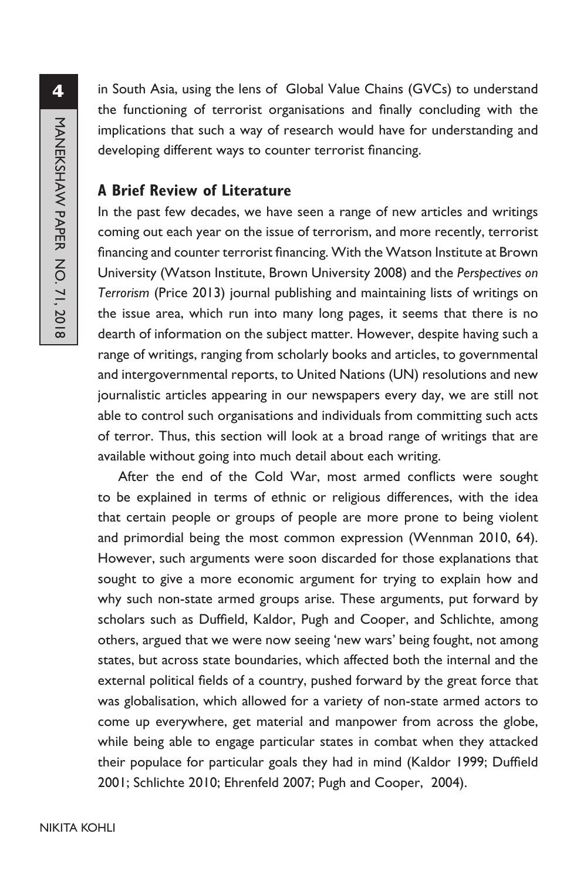in South Asia, using the lens of Global Value Chains (GVCs) to understand the functioning of terrorist organisations and finally concluding with the implications that such a way of research would have for understanding and developing different ways to counter terrorist financing.

# **A Brief Review of Literature**

In the past few decades, we have seen a range of new articles and writings coming out each year on the issue of terrorism, and more recently, terrorist financing and counter terrorist financing. With the Watson Institute at Brown University (Watson Institute, Brown University 2008) and the *Perspectives on Terrorism* (Price 2013) journal publishing and maintaining lists of writings on the issue area, which run into many long pages, it seems that there is no dearth of information on the subject matter. However, despite having such a range of writings, ranging from scholarly books and articles, to governmental and intergovernmental reports, to United Nations (UN) resolutions and new journalistic articles appearing in our newspapers every day, we are still not able to control such organisations and individuals from committing such acts of terror. Thus, this section will look at a broad range of writings that are available without going into much detail about each writing.

After the end of the Cold War, most armed conflicts were sought to be explained in terms of ethnic or religious differences, with the idea that certain people or groups of people are more prone to being violent and primordial being the most common expression (Wennman 2010, 64). However, such arguments were soon discarded for those explanations that sought to give a more economic argument for trying to explain how and why such non-state armed groups arise. These arguments, put forward by scholars such as Duffield, Kaldor, Pugh and Cooper, and Schlichte, among others, argued that we were now seeing 'new wars' being fought, not among states, but across state boundaries, which affected both the internal and the external political fields of a country, pushed forward by the great force that was globalisation, which allowed for a variety of non-state armed actors to come up everywhere, get material and manpower from across the globe, while being able to engage particular states in combat when they attacked their populace for particular goals they had in mind (Kaldor 1999; Duffield 2001; Schlichte 2010; Ehrenfeld 2007; Pugh and Cooper, 2004).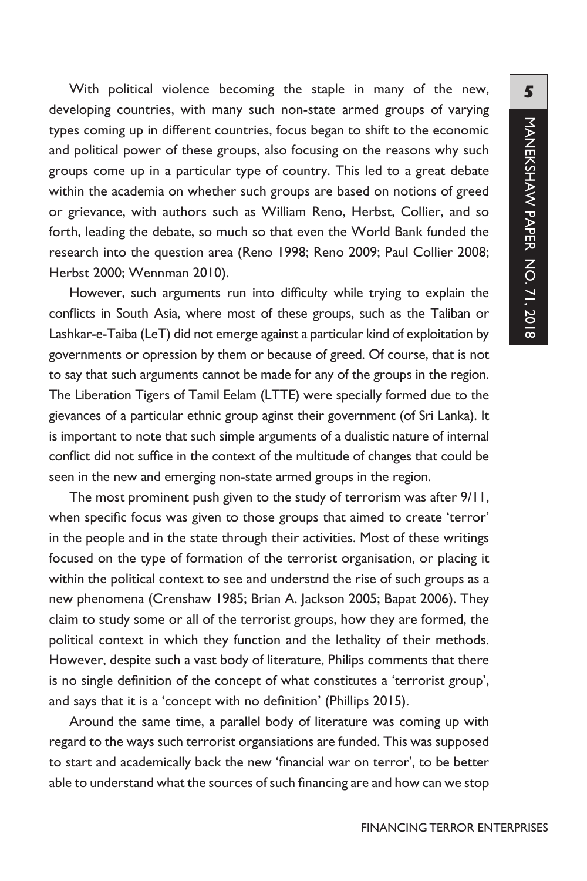With political violence becoming the staple in many of the new, developing countries, with many such non-state armed groups of varying types coming up in different countries, focus began to shift to the economic and political power of these groups, also focusing on the reasons why such groups come up in a particular type of country. This led to a great debate within the academia on whether such groups are based on notions of greed or grievance, with authors such as William Reno, Herbst, Collier, and so forth, leading the debate, so much so that even the World Bank funded the research into the question area (Reno 1998; Reno 2009; Paul Collier 2008; Herbst 2000; Wennman 2010).

However, such arguments run into difficulty while trying to explain the conflicts in South Asia, where most of these groups, such as the Taliban or Lashkar-e-Taiba (LeT) did not emerge against a particular kind of exploitation by governments or opression by them or because of greed. Of course, that is not to say that such arguments cannot be made for any of the groups in the region. The Liberation Tigers of Tamil Eelam (LTTE) were specially formed due to the gievances of a particular ethnic group aginst their government (of Sri Lanka). It is important to note that such simple arguments of a dualistic nature of internal conflict did not suffice in the context of the multitude of changes that could be seen in the new and emerging non-state armed groups in the region.

The most prominent push given to the study of terrorism was after 9/11, when specific focus was given to those groups that aimed to create 'terror' in the people and in the state through their activities. Most of these writings focused on the type of formation of the terrorist organisation, or placing it within the political context to see and understnd the rise of such groups as a new phenomena (Crenshaw 1985; Brian A. Jackson 2005; Bapat 2006). They claim to study some or all of the terrorist groups, how they are formed, the political context in which they function and the lethality of their methods. However, despite such a vast body of literature, Philips comments that there is no single definition of the concept of what constitutes a 'terrorist group', and says that it is a 'concept with no definition' (Phillips 2015).

Around the same time, a parallel body of literature was coming up with regard to the ways such terrorist organsiations are funded. This was supposed to start and academically back the new 'financial war on terror', to be better able to understand what the sources of such financing are and how can we stop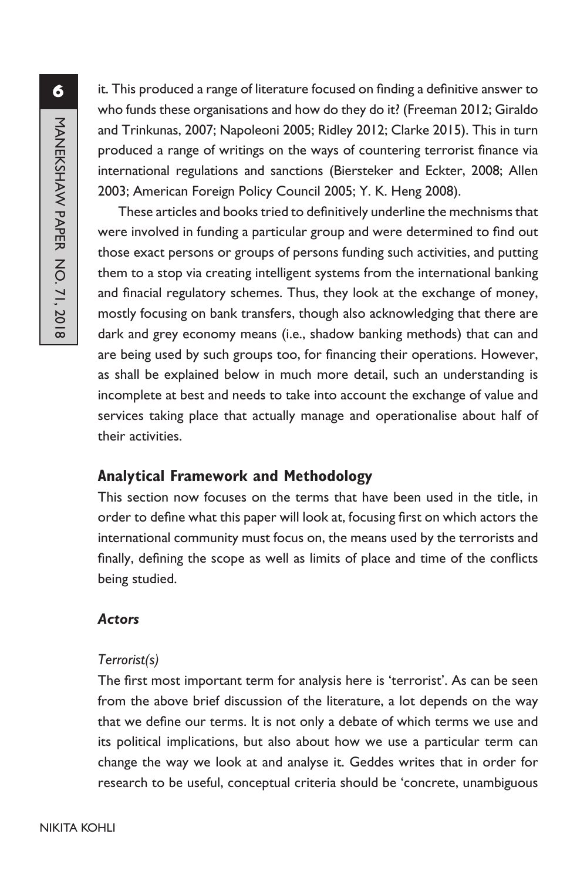it. This produced a range of literature focused on finding a definitive answer to who funds these organisations and how do they do it? (Freeman 2012; Giraldo and Trinkunas, 2007; Napoleoni 2005; Ridley 2012; Clarke 2015). This in turn produced a range of writings on the ways of countering terrorist finance via international regulations and sanctions (Biersteker and Eckter, 2008; Allen 2003; American Foreign Policy Council 2005; Y. K. Heng 2008).

These articles and books tried to definitively underline the mechnisms that were involved in funding a particular group and were determined to find out those exact persons or groups of persons funding such activities, and putting them to a stop via creating intelligent systems from the international banking and finacial regulatory schemes. Thus, they look at the exchange of money, mostly focusing on bank transfers, though also acknowledging that there are dark and grey economy means (i.e., shadow banking methods) that can and are being used by such groups too, for financing their operations. However, as shall be explained below in much more detail, such an understanding is incomplete at best and needs to take into account the exchange of value and services taking place that actually manage and operationalise about half of their activities.

# **Analytical Framework and Methodology**

This section now focuses on the terms that have been used in the title, in order to define what this paper will look at, focusing first on which actors the international community must focus on, the means used by the terrorists and finally, defining the scope as well as limits of place and time of the conflicts being studied.

#### *Actors*

#### *Terrorist(s)*

The first most important term for analysis here is 'terrorist'. As can be seen from the above brief discussion of the literature, a lot depends on the way that we define our terms. It is not only a debate of which terms we use and its political implications, but also about how we use a particular term can change the way we look at and analyse it. Geddes writes that in order for research to be useful, conceptual criteria should be 'concrete, unambiguous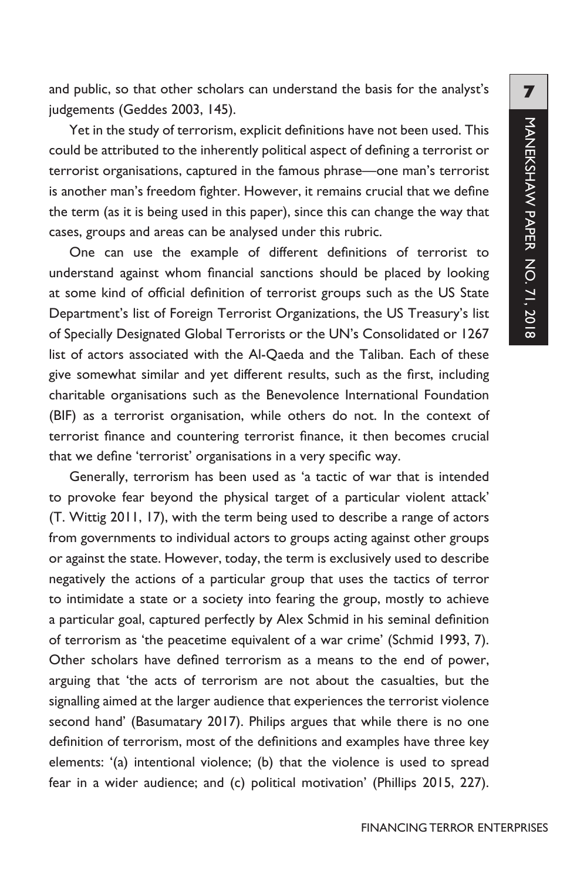and public, so that other scholars can understand the basis for the analyst's judgements (Geddes 2003, 145).

Yet in the study of terrorism, explicit definitions have not been used. This could be attributed to the inherently political aspect of defining a terrorist or terrorist organisations, captured in the famous phrase—one man's terrorist is another man's freedom fighter. However, it remains crucial that we define the term (as it is being used in this paper), since this can change the way that cases, groups and areas can be analysed under this rubric.

One can use the example of different definitions of terrorist to understand against whom financial sanctions should be placed by looking at some kind of official definition of terrorist groups such as the US State Department's list of Foreign Terrorist Organizations, the US Treasury's list of Specially Designated Global Terrorists or the UN's Consolidated or 1267 list of actors associated with the Al-Qaeda and the Taliban. Each of these give somewhat similar and yet different results, such as the first, including charitable organisations such as the Benevolence International Foundation (BIF) as a terrorist organisation, while others do not. In the context of terrorist finance and countering terrorist finance, it then becomes crucial that we define 'terrorist' organisations in a very specific way.

Generally, terrorism has been used as 'a tactic of war that is intended to provoke fear beyond the physical target of a particular violent attack' (T. Wittig 2011, 17), with the term being used to describe a range of actors from governments to individual actors to groups acting against other groups or against the state. However, today, the term is exclusively used to describe negatively the actions of a particular group that uses the tactics of terror to intimidate a state or a society into fearing the group, mostly to achieve a particular goal, captured perfectly by Alex Schmid in his seminal definition of terrorism as 'the peacetime equivalent of a war crime' (Schmid 1993, 7). Other scholars have defined terrorism as a means to the end of power, arguing that 'the acts of terrorism are not about the casualties, but the signalling aimed at the larger audience that experiences the terrorist violence second hand' (Basumatary 2017). Philips argues that while there is no one definition of terrorism, most of the definitions and examples have three key elements: '(a) intentional violence; (b) that the violence is used to spread fear in a wider audience; and (c) political motivation' (Phillips 2015, 227).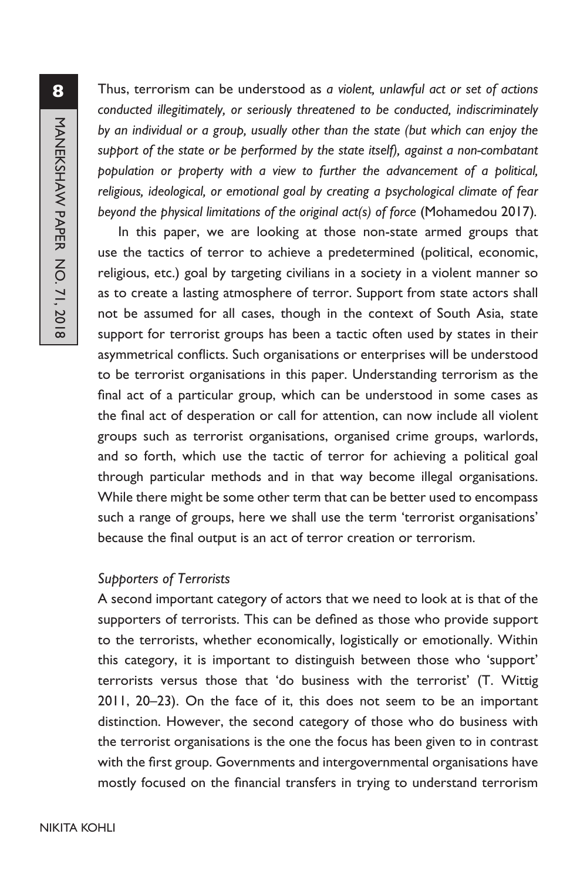Thus, terrorism can be understood as *a violent, unlawful act or set of actions conducted illegitimately, or seriously threatened to be conducted, indiscriminately by an individual or a group, usually other than the state (but which can enjoy the support of the state or be performed by the state itself), against a non-combatant population or property with a view to further the advancement of a political, religious, ideological, or emotional goal by creating a psychological climate of fear beyond the physical limitations of the original act(s) of force* (Mohamedou 2017)*.*

In this paper, we are looking at those non-state armed groups that use the tactics of terror to achieve a predetermined (political, economic, religious, etc.) goal by targeting civilians in a society in a violent manner so as to create a lasting atmosphere of terror. Support from state actors shall not be assumed for all cases, though in the context of South Asia, state support for terrorist groups has been a tactic often used by states in their asymmetrical conflicts. Such organisations or enterprises will be understood to be terrorist organisations in this paper. Understanding terrorism as the final act of a particular group, which can be understood in some cases as the final act of desperation or call for attention, can now include all violent groups such as terrorist organisations, organised crime groups, warlords, and so forth, which use the tactic of terror for achieving a political goal through particular methods and in that way become illegal organisations. While there might be some other term that can be better used to encompass such a range of groups, here we shall use the term 'terrorist organisations' because the final output is an act of terror creation or terrorism.

#### *Supporters of Terrorists*

A second important category of actors that we need to look at is that of the supporters of terrorists. This can be defined as those who provide support to the terrorists, whether economically, logistically or emotionally. Within this category, it is important to distinguish between those who 'support' terrorists versus those that 'do business with the terrorist' (T. Wittig 2011, 20–23). On the face of it, this does not seem to be an important distinction. However, the second category of those who do business with the terrorist organisations is the one the focus has been given to in contrast with the first group. Governments and intergovernmental organisations have mostly focused on the financial transfers in trying to understand terrorism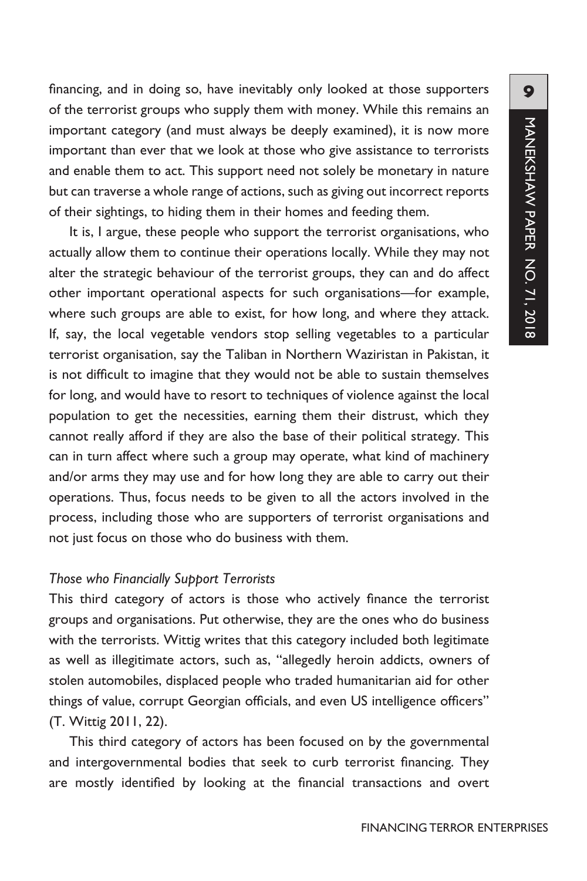financing, and in doing so, have inevitably only looked at those supporters of the terrorist groups who supply them with money. While this remains an important category (and must always be deeply examined), it is now more important than ever that we look at those who give assistance to terrorists and enable them to act. This support need not solely be monetary in nature but can traverse a whole range of actions, such as giving out incorrect reports of their sightings, to hiding them in their homes and feeding them.

It is, I argue, these people who support the terrorist organisations, who actually allow them to continue their operations locally. While they may not alter the strategic behaviour of the terrorist groups, they can and do affect other important operational aspects for such organisations—for example, where such groups are able to exist, for how long, and where they attack. If, say, the local vegetable vendors stop selling vegetables to a particular terrorist organisation, say the Taliban in Northern Waziristan in Pakistan, it is not difficult to imagine that they would not be able to sustain themselves for long, and would have to resort to techniques of violence against the local population to get the necessities, earning them their distrust, which they cannot really afford if they are also the base of their political strategy. This can in turn affect where such a group may operate, what kind of machinery and/or arms they may use and for how long they are able to carry out their operations. Thus, focus needs to be given to all the actors involved in the process, including those who are supporters of terrorist organisations and not just focus on those who do business with them.

#### *Those who Financially Support Terrorists*

This third category of actors is those who actively finance the terrorist groups and organisations. Put otherwise, they are the ones who do business with the terrorists. Wittig writes that this category included both legitimate as well as illegitimate actors, such as, "allegedly heroin addicts, owners of stolen automobiles, displaced people who traded humanitarian aid for other things of value, corrupt Georgian officials, and even US intelligence officers" (T. Wittig 2011, 22).

This third category of actors has been focused on by the governmental and intergovernmental bodies that seek to curb terrorist financing. They are mostly identified by looking at the financial transactions and overt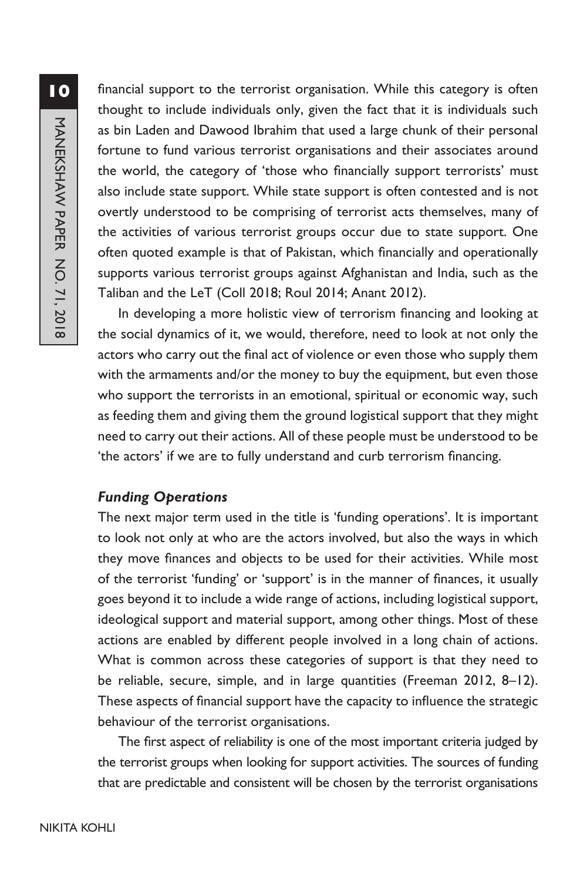**10**MANEKSHAW PAPER NO. 71, 2018 MANEKSHAW PAPER NO. 71, 2018

financial support to the terrorist organisation. While this category is often thought to include individuals only, given the fact that it is individuals such as bin Laden and Dawood Ibrahim that used a large chunk of their personal fortune to fund various terrorist organisations and their associates around the world, the category of 'those who financially support terrorists' must also include state support. While state support is often contested and is not overtly understood to be comprising of terrorist acts themselves, many of the activities of various terrorist groups occur due to state support. One often quoted example is that of Pakistan, which financially and operationally supports various terrorist groups against Afghanistan and India, such as the Taliban and the LeT (Coll 2018; Roul 2014; Anant 2012).

In developing a more holistic view of terrorism financing and looking at the social dynamics of it, we would, therefore, need to look at not only the actors who carry out the final act of violence or even those who supply them with the armaments and/or the money to buy the equipment, but even those who support the terrorists in an emotional, spiritual or economic way, such as feeding them and giving them the ground logistical support that they might need to carry out their actions. All of these people must be understood to be 'the actors' if we are to fully understand and curb terrorism financing.

# *Funding Operations*

The next major term used in the title is 'funding operations'. It is important to look not only at who are the actors involved, but also the ways in which they move finances and objects to be used for their activities. While most of the terrorist 'funding' or 'support' is in the manner of finances, it usually goes beyond it to include a wide range of actions, including logistical support, ideological support and material support, among other things. Most of these actions are enabled by different people involved in a long chain of actions. What is common across these categories of support is that they need to be reliable, secure, simple, and in large quantities (Freeman 2012, 8–12). These aspects of financial support have the capacity to influence the strategic behaviour of the terrorist organisations.

The first aspect of reliability is one of the most important criteria judged by the terrorist groups when looking for support activities. The sources of funding that are predictable and consistent will be chosen by the terrorist organisations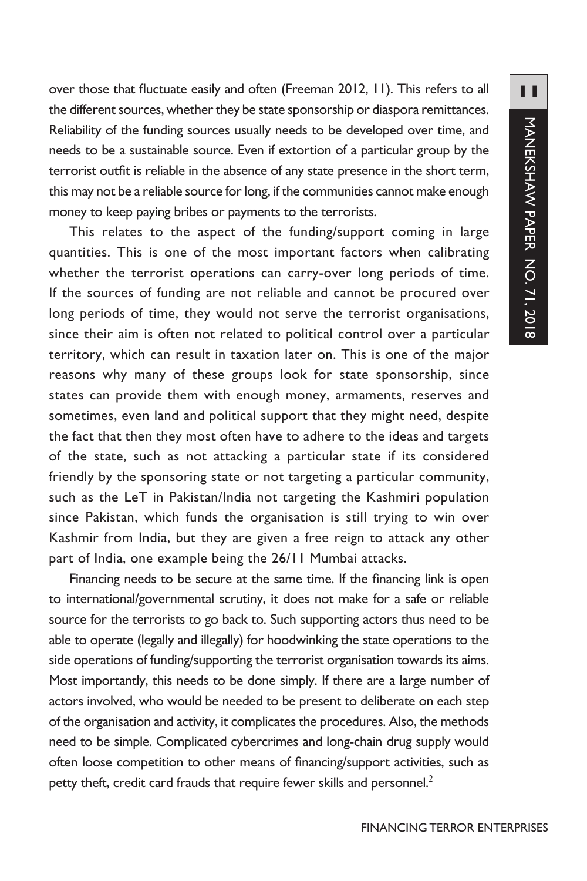over those that fluctuate easily and often (Freeman 2012, 11). This refers to all the different sources, whether they be state sponsorship or diaspora remittances. Reliability of the funding sources usually needs to be developed over time, and needs to be a sustainable source. Even if extortion of a particular group by the terrorist outfit is reliable in the absence of any state presence in the short term, this may not be a reliable source for long, if the communities cannot make enough money to keep paying bribes or payments to the terrorists.

This relates to the aspect of the funding/support coming in large quantities. This is one of the most important factors when calibrating whether the terrorist operations can carry-over long periods of time. If the sources of funding are not reliable and cannot be procured over long periods of time, they would not serve the terrorist organisations, since their aim is often not related to political control over a particular territory, which can result in taxation later on. This is one of the major reasons why many of these groups look for state sponsorship, since states can provide them with enough money, armaments, reserves and sometimes, even land and political support that they might need, despite the fact that then they most often have to adhere to the ideas and targets of the state, such as not attacking a particular state if its considered friendly by the sponsoring state or not targeting a particular community, such as the LeT in Pakistan/India not targeting the Kashmiri population since Pakistan, which funds the organisation is still trying to win over Kashmir from India, but they are given a free reign to attack any other part of India, one example being the 26/11 Mumbai attacks.

Financing needs to be secure at the same time. If the financing link is open to international/governmental scrutiny, it does not make for a safe or reliable source for the terrorists to go back to. Such supporting actors thus need to be able to operate (legally and illegally) for hoodwinking the state operations to the side operations of funding/supporting the terrorist organisation towards its aims. Most importantly, this needs to be done simply. If there are a large number of actors involved, who would be needed to be present to deliberate on each step of the organisation and activity, it complicates the procedures. Also, the methods need to be simple. Complicated cybercrimes and long-chain drug supply would often loose competition to other means of financing/support activities, such as petty theft, credit card frauds that require fewer skills and personnel.<sup>2</sup>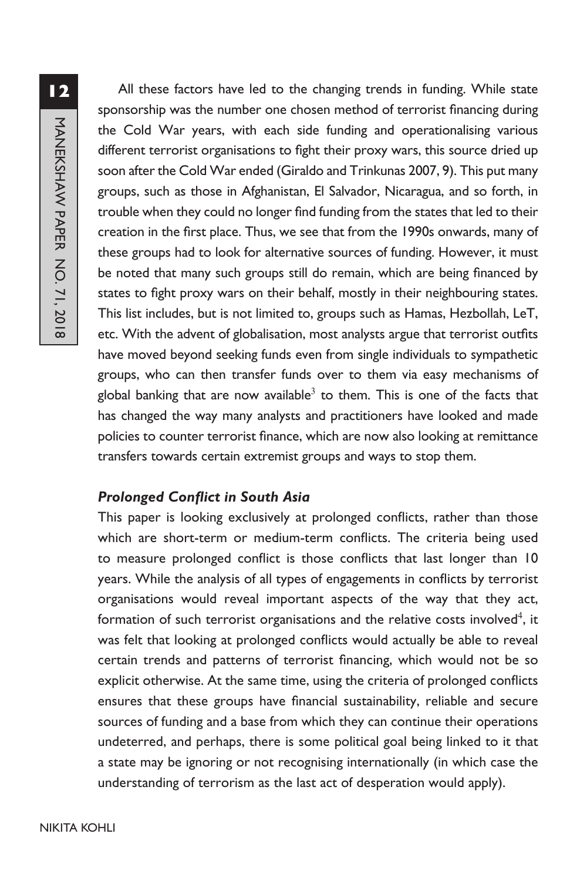All these factors have led to the changing trends in funding. While state sponsorship was the number one chosen method of terrorist financing during the Cold War years, with each side funding and operationalising various different terrorist organisations to fight their proxy wars, this source dried up soon after the Cold War ended (Giraldo and Trinkunas 2007, 9). This put many groups, such as those in Afghanistan, El Salvador, Nicaragua, and so forth, in trouble when they could no longer find funding from the states that led to their creation in the first place. Thus, we see that from the 1990s onwards, many of these groups had to look for alternative sources of funding. However, it must be noted that many such groups still do remain, which are being financed by states to fight proxy wars on their behalf, mostly in their neighbouring states. This list includes, but is not limited to, groups such as Hamas, Hezbollah, LeT, etc. With the advent of globalisation, most analysts argue that terrorist outfits have moved beyond seeking funds even from single individuals to sympathetic groups, who can then transfer funds over to them via easy mechanisms of global banking that are now available<sup>3</sup> to them. This is one of the facts that has changed the way many analysts and practitioners have looked and made policies to counter terrorist finance, which are now also looking at remittance transfers towards certain extremist groups and ways to stop them.

# *Prolonged Conflict in South Asia*

This paper is looking exclusively at prolonged conflicts, rather than those which are short-term or medium-term conflicts. The criteria being used to measure prolonged conflict is those conflicts that last longer than 10 years. While the analysis of all types of engagements in conflicts by terrorist organisations would reveal important aspects of the way that they act, formation of such terrorist organisations and the relative costs involved $^4$ , it was felt that looking at prolonged conflicts would actually be able to reveal certain trends and patterns of terrorist financing, which would not be so explicit otherwise. At the same time, using the criteria of prolonged conflicts ensures that these groups have financial sustainability, reliable and secure sources of funding and a base from which they can continue their operations undeterred, and perhaps, there is some political goal being linked to it that a state may be ignoring or not recognising internationally (in which case the understanding of terrorism as the last act of desperation would apply).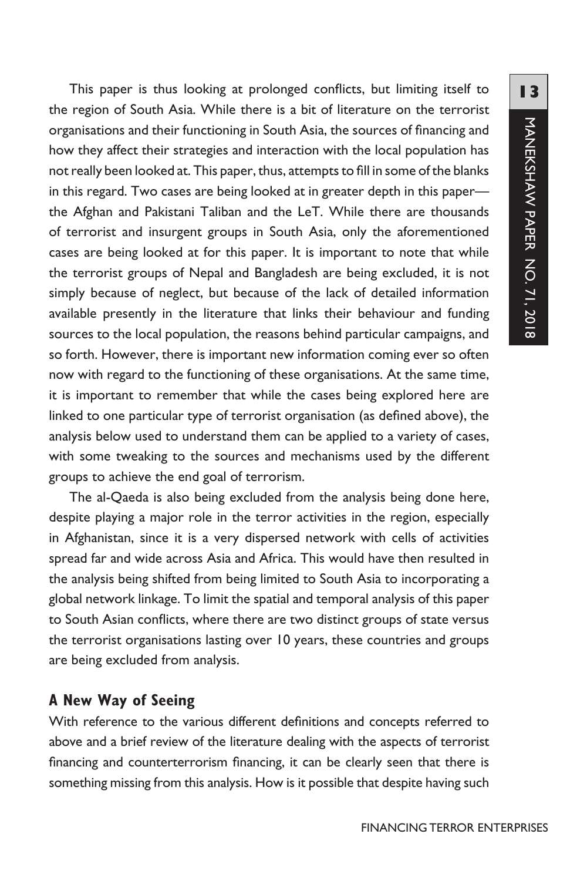This paper is thus looking at prolonged conflicts, but limiting itself to the region of South Asia. While there is a bit of literature on the terrorist organisations and their functioning in South Asia, the sources of financing and how they affect their strategies and interaction with the local population has not really been looked at. This paper, thus, attempts to fill in some of the blanks in this regard. Two cases are being looked at in greater depth in this paper the Afghan and Pakistani Taliban and the LeT. While there are thousands of terrorist and insurgent groups in South Asia, only the aforementioned cases are being looked at for this paper. It is important to note that while the terrorist groups of Nepal and Bangladesh are being excluded, it is not simply because of neglect, but because of the lack of detailed information available presently in the literature that links their behaviour and funding sources to the local population, the reasons behind particular campaigns, and so forth. However, there is important new information coming ever so often now with regard to the functioning of these organisations. At the same time, it is important to remember that while the cases being explored here are linked to one particular type of terrorist organisation (as defined above), the analysis below used to understand them can be applied to a variety of cases, with some tweaking to the sources and mechanisms used by the different groups to achieve the end goal of terrorism.

The al-Qaeda is also being excluded from the analysis being done here, despite playing a major role in the terror activities in the region, especially in Afghanistan, since it is a very dispersed network with cells of activities spread far and wide across Asia and Africa. This would have then resulted in the analysis being shifted from being limited to South Asia to incorporating a global network linkage. To limit the spatial and temporal analysis of this paper to South Asian conflicts, where there are two distinct groups of state versus the terrorist organisations lasting over 10 years, these countries and groups are being excluded from analysis.

## **A New Way of Seeing**

With reference to the various different definitions and concepts referred to above and a brief review of the literature dealing with the aspects of terrorist financing and counterterrorism financing, it can be clearly seen that there is something missing from this analysis. How is it possible that despite having such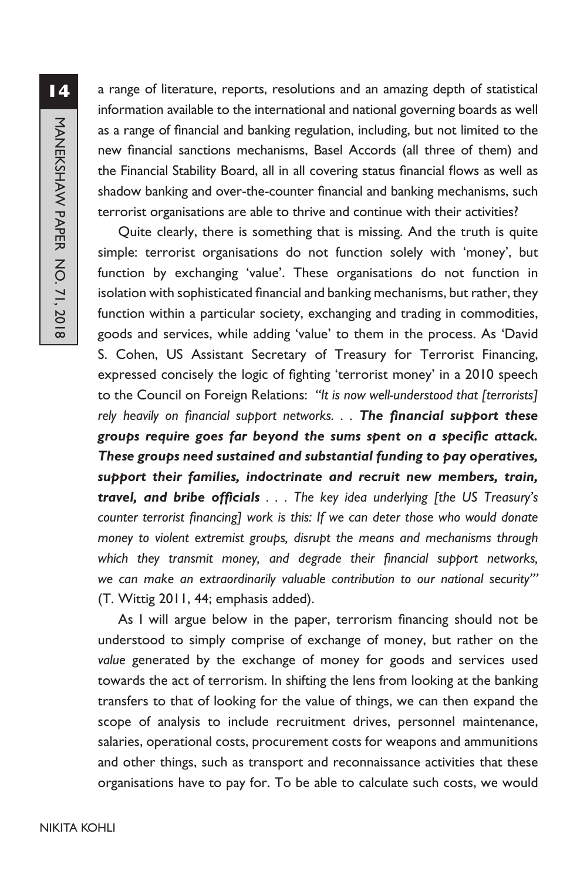a range of literature, reports, resolutions and an amazing depth of statistical information available to the international and national governing boards as well as a range of financial and banking regulation, including, but not limited to the new financial sanctions mechanisms, Basel Accords (all three of them) and the Financial Stability Board, all in all covering status financial flows as well as shadow banking and over-the-counter financial and banking mechanisms, such terrorist organisations are able to thrive and continue with their activities?

Quite clearly, there is something that is missing. And the truth is quite simple: terrorist organisations do not function solely with 'money', but function by exchanging 'value'. These organisations do not function in isolation with sophisticated financial and banking mechanisms, but rather, they function within a particular society, exchanging and trading in commodities, goods and services, while adding 'value' to them in the process. As 'David S. Cohen, US Assistant Secretary of Treasury for Terrorist Financing, expressed concisely the logic of fighting 'terrorist money' in a 2010 speech to the Council on Foreign Relations: *"It is now well-understood that [terrorists] rely heavily on financial support networks. . . The financial support these groups require goes far beyond the sums spent on a specific attack. These groups need sustained and substantial funding to pay operatives, support their families, indoctrinate and recruit new members, train, travel, and bribe officials . . . The key idea underlying [the US Treasury's counter terrorist financing] work is this: If we can deter those who would donate money to violent extremist groups, disrupt the means and mechanisms through which they transmit money, and degrade their financial support networks, we can make an extraordinarily valuable contribution to our national security'"*  (T. Wittig 2011, 44; emphasis added).

As I will argue below in the paper, terrorism financing should not be understood to simply comprise of exchange of money, but rather on the *value* generated by the exchange of money for goods and services used towards the act of terrorism. In shifting the lens from looking at the banking transfers to that of looking for the value of things, we can then expand the scope of analysis to include recruitment drives, personnel maintenance, salaries, operational costs, procurement costs for weapons and ammunitions and other things, such as transport and reconnaissance activities that these organisations have to pay for. To be able to calculate such costs, we would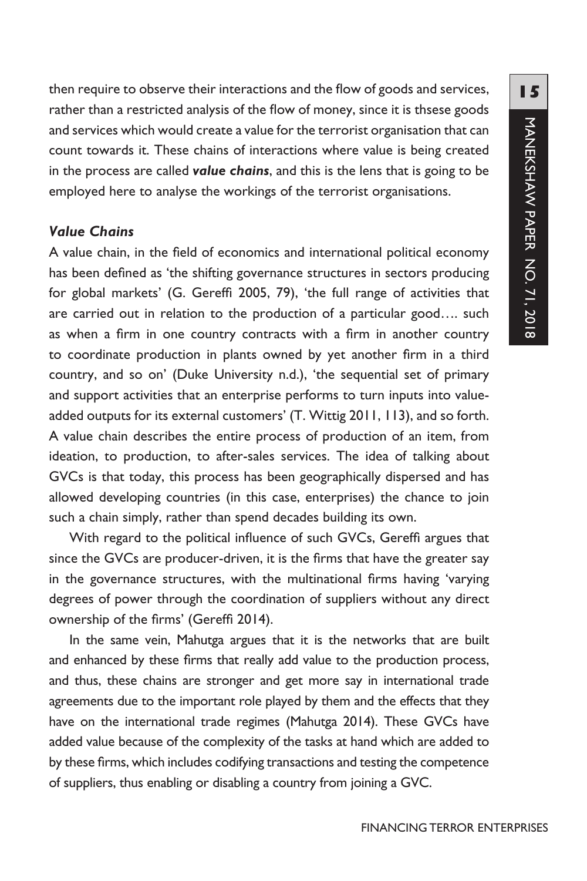then require to observe their interactions and the flow of goods and services, rather than a restricted analysis of the flow of money, since it is thsese goods and services which would create a value for the terrorist organisation that can count towards it. These chains of interactions where value is being created in the process are called *value chains*, and this is the lens that is going to be employed here to analyse the workings of the terrorist organisations.

### *Value Chains*

A value chain, in the field of economics and international political economy has been defined as 'the shifting governance structures in sectors producing for global markets' (G. Gereffi 2005, 79), 'the full range of activities that are carried out in relation to the production of a particular good…. such as when a firm in one country contracts with a firm in another country to coordinate production in plants owned by yet another firm in a third country, and so on' (Duke University n.d.), 'the sequential set of primary and support activities that an enterprise performs to turn inputs into valueadded outputs for its external customers' (T. Wittig 2011, 113), and so forth. A value chain describes the entire process of production of an item, from ideation, to production, to after-sales services. The idea of talking about GVCs is that today, this process has been geographically dispersed and has allowed developing countries (in this case, enterprises) the chance to join such a chain simply, rather than spend decades building its own.

With regard to the political influence of such GVCs, Gereffi argues that since the GVCs are producer-driven, it is the firms that have the greater say in the governance structures, with the multinational firms having 'varying degrees of power through the coordination of suppliers without any direct ownership of the firms' (Gereffi 2014).

In the same vein, Mahutga argues that it is the networks that are built and enhanced by these firms that really add value to the production process, and thus, these chains are stronger and get more say in international trade agreements due to the important role played by them and the effects that they have on the international trade regimes (Mahutga 2014). These GVCs have added value because of the complexity of the tasks at hand which are added to by these firms, which includes codifying transactions and testing the competence of suppliers, thus enabling or disabling a country from joining a GVC.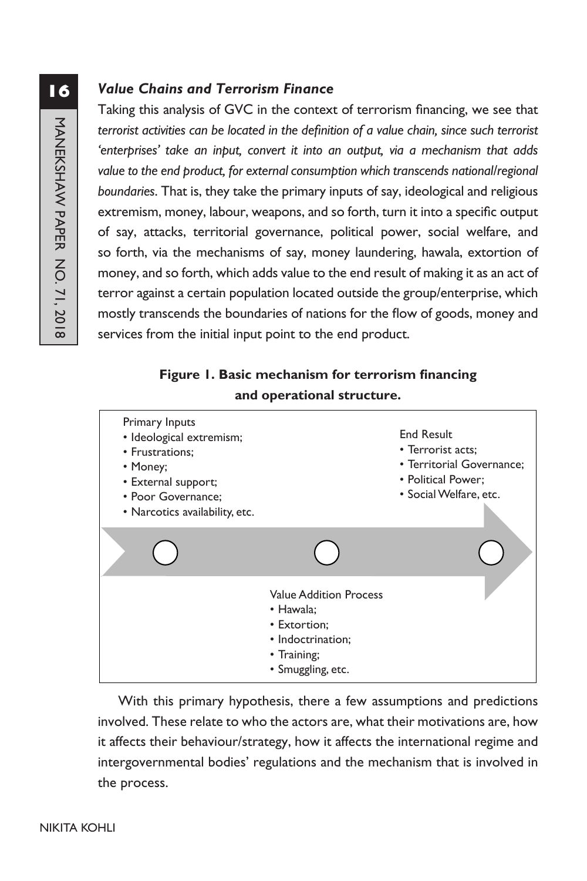# *Value Chains and Terrorism Finance*

Taking this analysis of GVC in the context of terrorism financing, we see that *terrorist activities can be located in the definition of a value chain, since such terrorist 'enterprises' take an input, convert it into an output, via a mechanism that adds*  value to the end product, for external consumption which transcends national/regional *boundaries*. That is, they take the primary inputs of say, ideological and religious extremism, money, labour, weapons, and so forth, turn it into a specific output of say, attacks, territorial governance, political power, social welfare, and so forth, via the mechanisms of say, money laundering, hawala, extortion of money, and so forth, which adds value to the end result of making it as an act of terror against a certain population located outside the group/enterprise, which mostly transcends the boundaries of nations for the flow of goods, money and services from the initial input point to the end product.

# **Figure 1. Basic mechanism for terrorism financing and operational structure.**



With this primary hypothesis, there a few assumptions and predictions involved. These relate to who the actors are, what their motivations are, how it affects their behaviour/strategy, how it affects the international regime and intergovernmental bodies' regulations and the mechanism that is involved in the process.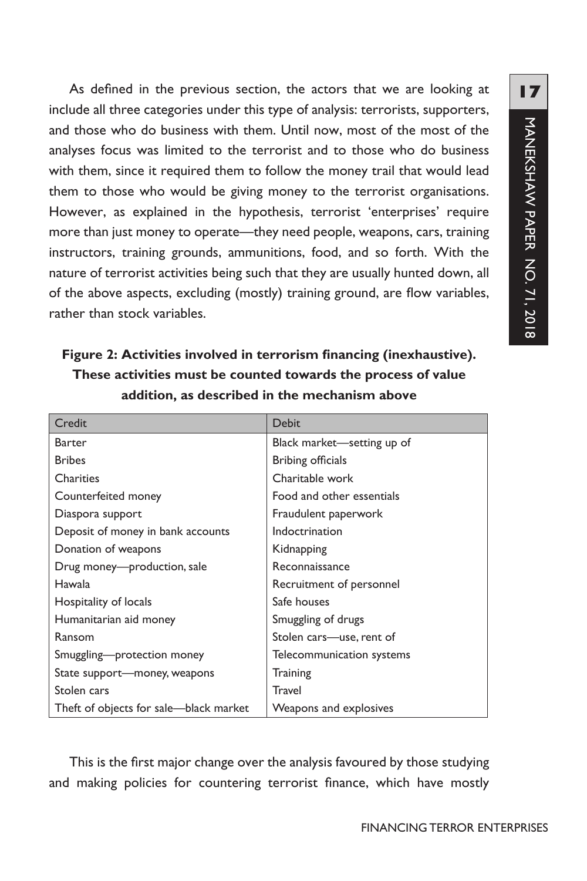As defined in the previous section, the actors that we are looking at include all three categories under this type of analysis: terrorists, supporters, and those who do business with them. Until now, most of the most of the analyses focus was limited to the terrorist and to those who do business with them, since it required them to follow the money trail that would lead them to those who would be giving money to the terrorist organisations. However, as explained in the hypothesis, terrorist 'enterprises' require more than just money to operate—they need people, weapons, cars, training instructors, training grounds, ammunitions, food, and so forth. With the nature of terrorist activities being such that they are usually hunted down, all of the above aspects, excluding (mostly) training ground, are flow variables, rather than stock variables.

**Figure 2: Activities involved in terrorism financing (inexhaustive). These activities must be counted towards the process of value addition, as described in the mechanism above**

| Credit                                 | <b>Debit</b>               |  |
|----------------------------------------|----------------------------|--|
| <b>Barter</b>                          | Black market—setting up of |  |
| <b>Bribes</b>                          | Bribing officials          |  |
| Charities                              | Charitable work            |  |
| Counterfeited money                    | Food and other essentials  |  |
| Diaspora support                       | Fraudulent paperwork       |  |
| Deposit of money in bank accounts      | Indoctrination             |  |
| Donation of weapons                    | Kidnapping                 |  |
| Drug money—production, sale            | Reconnaissance             |  |
| Hawala                                 | Recruitment of personnel   |  |
| Hospitality of locals                  | Safe houses                |  |
| Humanitarian aid money                 | Smuggling of drugs         |  |
| Ransom                                 | Stolen cars-use, rent of   |  |
| Smuggling-protection money             | Telecommunication systems  |  |
| State support—money, weapons           | <b>Training</b>            |  |
| Stolen cars                            | <b>Travel</b>              |  |
| Theft of objects for sale—black market | Weapons and explosives     |  |

This is the first major change over the analysis favoured by those studying and making policies for countering terrorist finance, which have mostly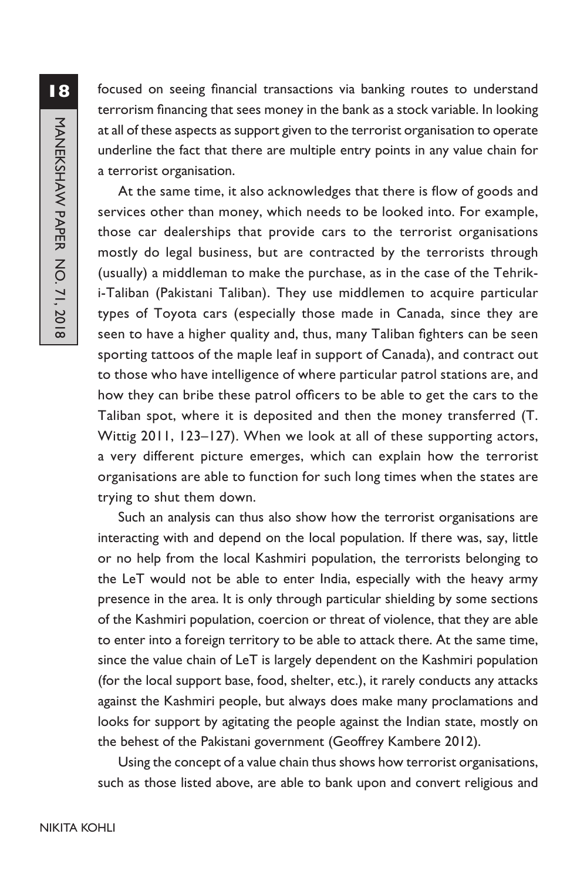focused on seeing financial transactions via banking routes to understand terrorism financing that sees money in the bank as a stock variable. In looking at all of these aspects as support given to the terrorist organisation to operate underline the fact that there are multiple entry points in any value chain for a terrorist organisation.

At the same time, it also acknowledges that there is flow of goods and services other than money, which needs to be looked into. For example, those car dealerships that provide cars to the terrorist organisations mostly do legal business, but are contracted by the terrorists through (usually) a middleman to make the purchase, as in the case of the Tehriki-Taliban (Pakistani Taliban). They use middlemen to acquire particular types of Toyota cars (especially those made in Canada, since they are seen to have a higher quality and, thus, many Taliban fighters can be seen sporting tattoos of the maple leaf in support of Canada), and contract out to those who have intelligence of where particular patrol stations are, and how they can bribe these patrol officers to be able to get the cars to the Taliban spot, where it is deposited and then the money transferred (T. Wittig 2011, 123–127). When we look at all of these supporting actors, a very different picture emerges, which can explain how the terrorist organisations are able to function for such long times when the states are trying to shut them down.

Such an analysis can thus also show how the terrorist organisations are interacting with and depend on the local population. If there was, say, little or no help from the local Kashmiri population, the terrorists belonging to the LeT would not be able to enter India, especially with the heavy army presence in the area. It is only through particular shielding by some sections of the Kashmiri population, coercion or threat of violence, that they are able to enter into a foreign territory to be able to attack there. At the same time, since the value chain of LeT is largely dependent on the Kashmiri population (for the local support base, food, shelter, etc.), it rarely conducts any attacks against the Kashmiri people, but always does make many proclamations and looks for support by agitating the people against the Indian state, mostly on the behest of the Pakistani government (Geoffrey Kambere 2012).

Using the concept of a value chain thus shows how terrorist organisations, such as those listed above, are able to bank upon and convert religious and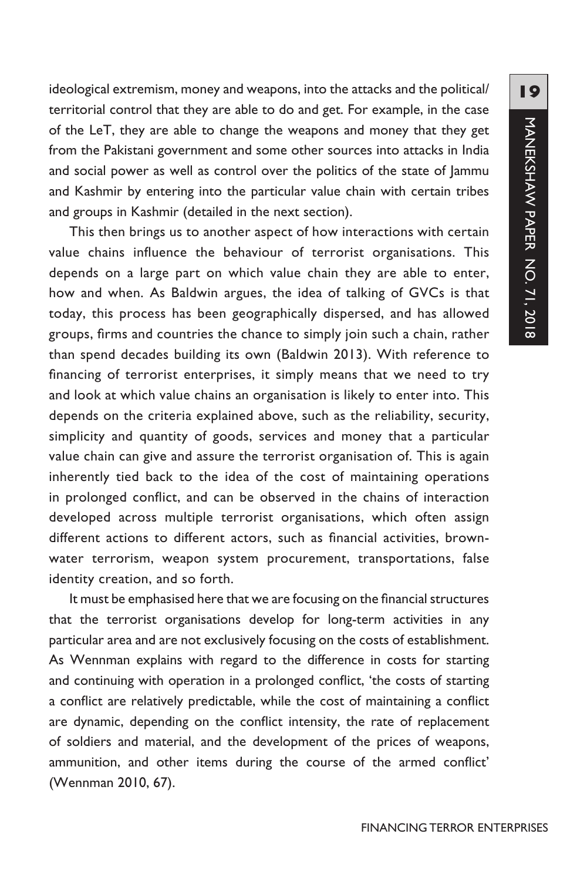ideological extremism, money and weapons, into the attacks and the political/ territorial control that they are able to do and get. For example, in the case of the LeT, they are able to change the weapons and money that they get from the Pakistani government and some other sources into attacks in India and social power as well as control over the politics of the state of Jammu and Kashmir by entering into the particular value chain with certain tribes and groups in Kashmir (detailed in the next section).

This then brings us to another aspect of how interactions with certain value chains influence the behaviour of terrorist organisations. This depends on a large part on which value chain they are able to enter, how and when. As Baldwin argues, the idea of talking of GVCs is that today, this process has been geographically dispersed, and has allowed groups, firms and countries the chance to simply join such a chain, rather than spend decades building its own (Baldwin 2013). With reference to financing of terrorist enterprises, it simply means that we need to try and look at which value chains an organisation is likely to enter into. This depends on the criteria explained above, such as the reliability, security, simplicity and quantity of goods, services and money that a particular value chain can give and assure the terrorist organisation of. This is again inherently tied back to the idea of the cost of maintaining operations in prolonged conflict, and can be observed in the chains of interaction developed across multiple terrorist organisations, which often assign different actions to different actors, such as financial activities, brownwater terrorism, weapon system procurement, transportations, false identity creation, and so forth.

It must be emphasised here that we are focusing on the financial structures that the terrorist organisations develop for long-term activities in any particular area and are not exclusively focusing on the costs of establishment. As Wennman explains with regard to the difference in costs for starting and continuing with operation in a prolonged conflict, 'the costs of starting a conflict are relatively predictable, while the cost of maintaining a conflict are dynamic, depending on the conflict intensity, the rate of replacement of soldiers and material, and the development of the prices of weapons, ammunition, and other items during the course of the armed conflict' (Wennman 2010, 67).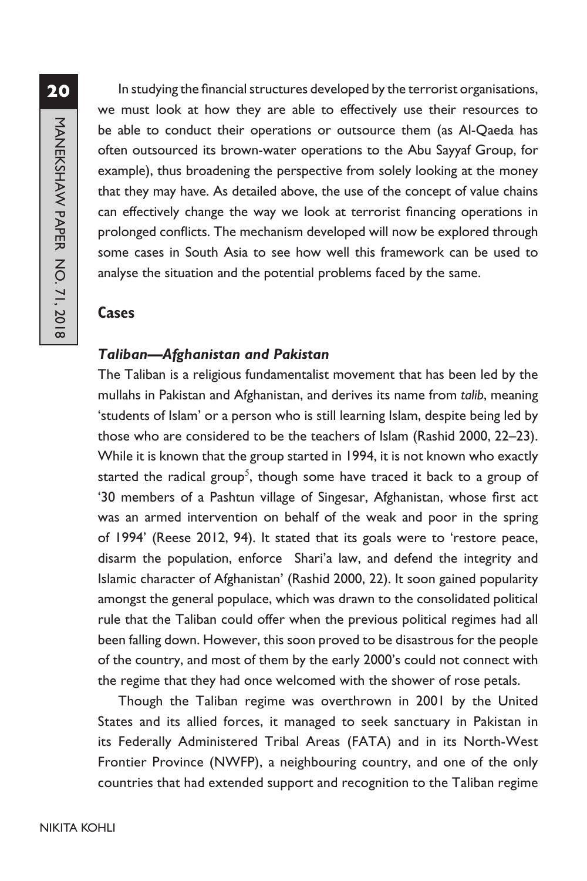In studying the financial structures developed by the terrorist organisations, we must look at how they are able to effectively use their resources to be able to conduct their operations or outsource them (as Al-Qaeda has often outsourced its brown-water operations to the Abu Sayyaf Group, for example), thus broadening the perspective from solely looking at the money that they may have. As detailed above, the use of the concept of value chains can effectively change the way we look at terrorist financing operations in prolonged conflicts. The mechanism developed will now be explored through some cases in South Asia to see how well this framework can be used to analyse the situation and the potential problems faced by the same.

#### **Cases**

### *Taliban—Afghanistan and Pakistan*

The Taliban is a religious fundamentalist movement that has been led by the mullahs in Pakistan and Afghanistan, and derives its name from *talib*, meaning 'students of Islam' or a person who is still learning Islam, despite being led by those who are considered to be the teachers of Islam (Rashid 2000, 22–23). While it is known that the group started in 1994, it is not known who exactly started the radical group<sup>5</sup>, though some have traced it back to a group of '30 members of a Pashtun village of Singesar, Afghanistan, whose first act was an armed intervention on behalf of the weak and poor in the spring of 1994' (Reese 2012, 94). It stated that its goals were to 'restore peace, disarm the population, enforce Shari'a law, and defend the integrity and Islamic character of Afghanistan' (Rashid 2000, 22). It soon gained popularity amongst the general populace, which was drawn to the consolidated political rule that the Taliban could offer when the previous political regimes had all been falling down. However, this soon proved to be disastrous for the people of the country, and most of them by the early 2000's could not connect with the regime that they had once welcomed with the shower of rose petals.

Though the Taliban regime was overthrown in 2001 by the United States and its allied forces, it managed to seek sanctuary in Pakistan in its Federally Administered Tribal Areas (FATA) and in its North-West Frontier Province (NWFP), a neighbouring country, and one of the only countries that had extended support and recognition to the Taliban regime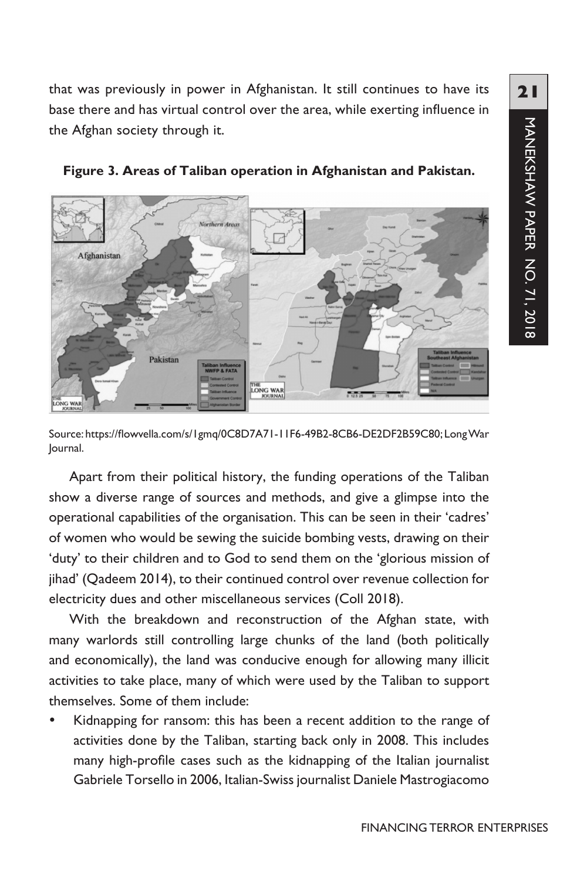that was previously in power in Afghanistan. It still continues to have its base there and has virtual control over the area, while exerting influence in the Afghan society through it.



**Figure 3. Areas of Taliban operation in Afghanistan and Pakistan.** 

Source: https://flowvella.com/s/1gmq/0C8D7A71-11F6-49B2-8CB6-DE2DF2B59C80; LongWar Journal.

Apart from their political history, the funding operations of the Taliban show a diverse range of sources and methods, and give a glimpse into the operational capabilities of the organisation. This can be seen in their 'cadres' of women who would be sewing the suicide bombing vests, drawing on their 'duty' to their children and to God to send them on the 'glorious mission of jihad' (Qadeem 2014), to their continued control over revenue collection for electricity dues and other miscellaneous services (Coll 2018).

With the breakdown and reconstruction of the Afghan state, with many warlords still controlling large chunks of the land (both politically and economically), the land was conducive enough for allowing many illicit activities to take place, many of which were used by the Taliban to support themselves. Some of them include:

Kidnapping for ransom: this has been a recent addition to the range of activities done by the Taliban, starting back only in 2008. This includes many high-profile cases such as the kidnapping of the Italian journalist Gabriele Torsello in 2006, Italian-Swiss journalist Daniele Mastrogiacomo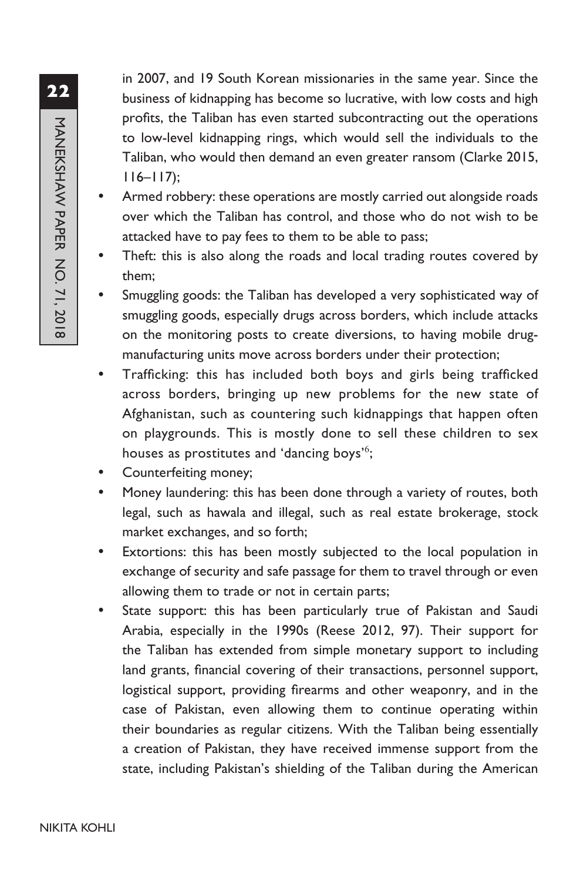in 2007, and 19 South Korean missionaries in the same year. Since the business of kidnapping has become so lucrative, with low costs and high profits, the Taliban has even started subcontracting out the operations to low-level kidnapping rings, which would sell the individuals to the Taliban, who would then demand an even greater ransom (Clarke 2015,  $116 - 117$ ;

- Armed robbery: these operations are mostly carried out alongside roads over which the Taliban has control, and those who do not wish to be attacked have to pay fees to them to be able to pass;
- Theft: this is also along the roads and local trading routes covered by them;
- Smuggling goods: the Taliban has developed a very sophisticated way of smuggling goods, especially drugs across borders, which include attacks on the monitoring posts to create diversions, to having mobile drugmanufacturing units move across borders under their protection;
- Trafficking: this has included both boys and girls being trafficked across borders, bringing up new problems for the new state of Afghanistan, such as countering such kidnappings that happen often on playgrounds. This is mostly done to sell these children to sex houses as prostitutes and 'dancing boys'<sup>6</sup>;
- Counterfeiting money;
- Money laundering: this has been done through a variety of routes, both legal, such as hawala and illegal, such as real estate brokerage, stock market exchanges, and so forth;
- Extortions: this has been mostly subjected to the local population in exchange of security and safe passage for them to travel through or even allowing them to trade or not in certain parts;
- State support: this has been particularly true of Pakistan and Saudi Arabia, especially in the 1990s (Reese 2012, 97). Their support for the Taliban has extended from simple monetary support to including land grants, financial covering of their transactions, personnel support, logistical support, providing firearms and other weaponry, and in the case of Pakistan, even allowing them to continue operating within their boundaries as regular citizens. With the Taliban being essentially a creation of Pakistan, they have received immense support from the state, including Pakistan's shielding of the Taliban during the American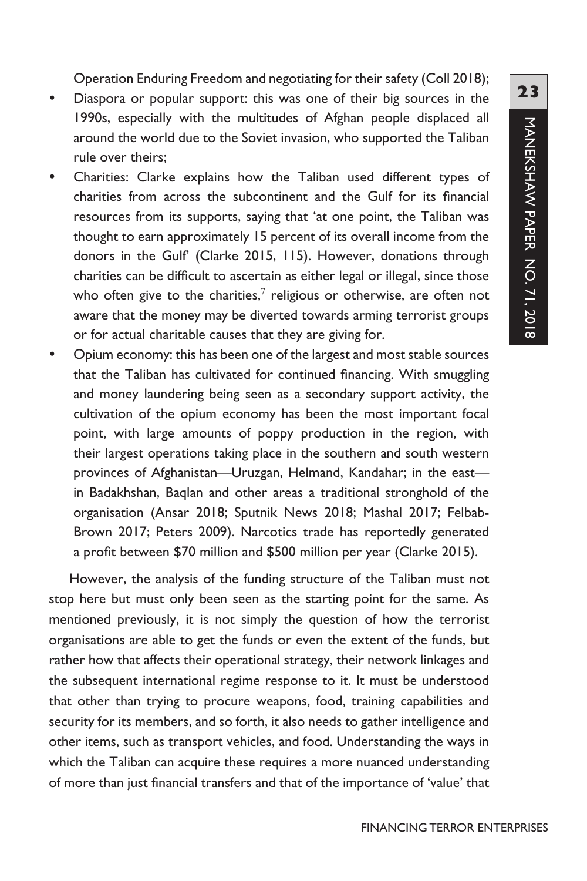Operation Enduring Freedom and negotiating for their safety (Coll 2018);

- Diaspora or popular support: this was one of their big sources in the 1990s, especially with the multitudes of Afghan people displaced all around the world due to the Soviet invasion, who supported the Taliban rule over theirs;
- Charities: Clarke explains how the Taliban used different types of charities from across the subcontinent and the Gulf for its financial resources from its supports, saying that 'at one point, the Taliban was thought to earn approximately 15 percent of its overall income from the donors in the Gulf' (Clarke 2015, 115). However, donations through charities can be difficult to ascertain as either legal or illegal, since those who often give to the charities, $^7$  religious or otherwise, are often not aware that the money may be diverted towards arming terrorist groups or for actual charitable causes that they are giving for.
- Opium economy: this has been one of the largest and most stable sources that the Taliban has cultivated for continued financing. With smuggling and money laundering being seen as a secondary support activity, the cultivation of the opium economy has been the most important focal point, with large amounts of poppy production in the region, with their largest operations taking place in the southern and south western provinces of Afghanistan—Uruzgan, Helmand, Kandahar; in the east in Badakhshan, Baqlan and other areas a traditional stronghold of the organisation (Ansar 2018; Sputnik News 2018; Mashal 2017; Felbab-Brown 2017; Peters 2009). Narcotics trade has reportedly generated a profit between \$70 million and \$500 million per year (Clarke 2015).

However, the analysis of the funding structure of the Taliban must not stop here but must only been seen as the starting point for the same. As mentioned previously, it is not simply the question of how the terrorist organisations are able to get the funds or even the extent of the funds, but rather how that affects their operational strategy, their network linkages and the subsequent international regime response to it. It must be understood that other than trying to procure weapons, food, training capabilities and security for its members, and so forth, it also needs to gather intelligence and other items, such as transport vehicles, and food. Understanding the ways in which the Taliban can acquire these requires a more nuanced understanding of more than just financial transfers and that of the importance of 'value' that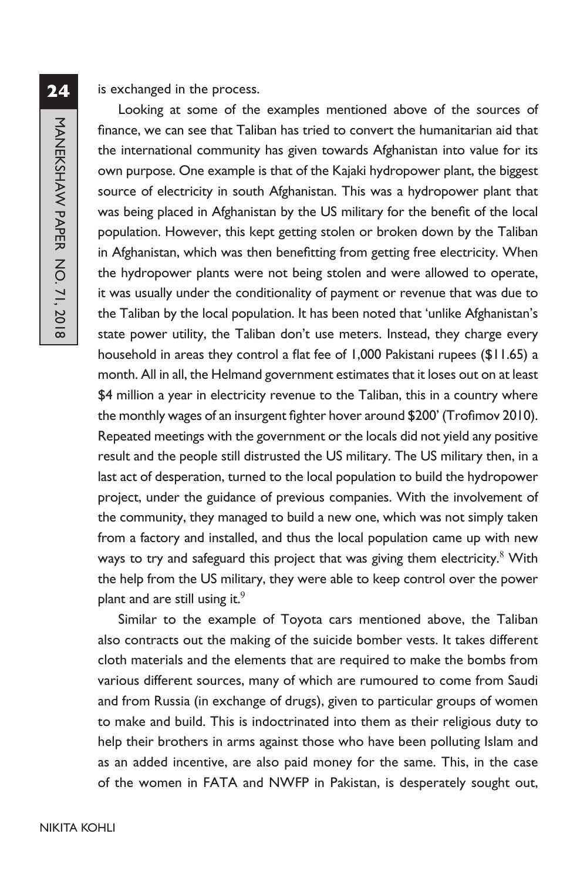#### is exchanged in the process.

Looking at some of the examples mentioned above of the sources of finance, we can see that Taliban has tried to convert the humanitarian aid that the international community has given towards Afghanistan into value for its own purpose. One example is that of the Kajaki hydropower plant, the biggest source of electricity in south Afghanistan. This was a hydropower plant that was being placed in Afghanistan by the US military for the benefit of the local population. However, this kept getting stolen or broken down by the Taliban in Afghanistan, which was then benefitting from getting free electricity. When the hydropower plants were not being stolen and were allowed to operate, it was usually under the conditionality of payment or revenue that was due to the Taliban by the local population. It has been noted that 'unlike Afghanistan's state power utility, the Taliban don't use meters. Instead, they charge every household in areas they control a flat fee of 1,000 Pakistani rupees (\$11.65) a month. All in all, the Helmand government estimates that it loses out on at least \$4 million a year in electricity revenue to the Taliban, this in a country where the monthly wages of an insurgent fighter hover around \$200' (Trofimov 2010). Repeated meetings with the government or the locals did not yield any positive result and the people still distrusted the US military. The US military then, in a last act of desperation, turned to the local population to build the hydropower project, under the guidance of previous companies. With the involvement of the community, they managed to build a new one, which was not simply taken from a factory and installed, and thus the local population came up with new ways to try and safeguard this project that was giving them electricity. $^8$  With the help from the US military, they were able to keep control over the power plant and are still using it.<sup>9</sup>

Similar to the example of Toyota cars mentioned above, the Taliban also contracts out the making of the suicide bomber vests. It takes different cloth materials and the elements that are required to make the bombs from various different sources, many of which are rumoured to come from Saudi and from Russia (in exchange of drugs), given to particular groups of women to make and build. This is indoctrinated into them as their religious duty to help their brothers in arms against those who have been polluting Islam and as an added incentive, are also paid money for the same. This, in the case of the women in FATA and NWFP in Pakistan, is desperately sought out,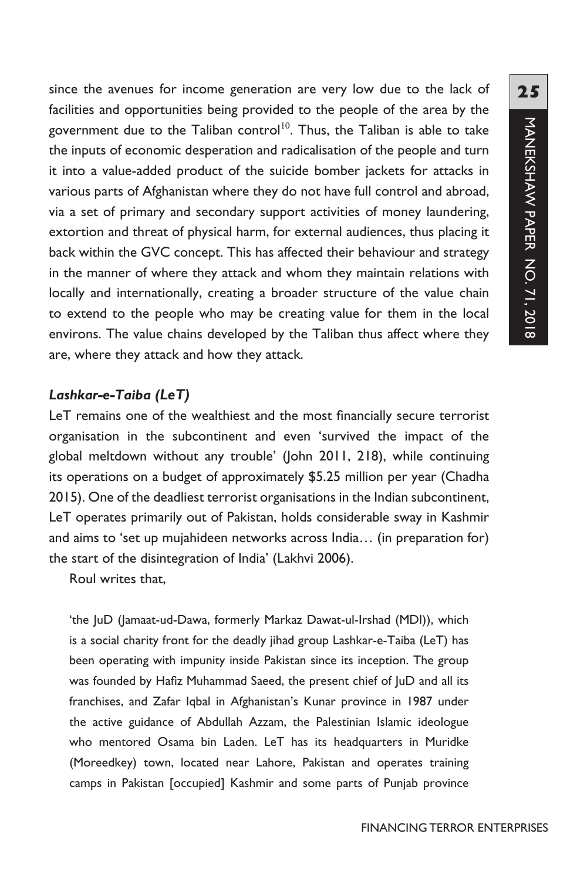**25**MANEKSHAW PAPER NO. 71, 2018 MANEKSHAW PAPER NO. 71, 2018

since the avenues for income generation are very low due to the lack of facilities and opportunities being provided to the people of the area by the government due to the Taliban control<sup>10</sup>. Thus, the Taliban is able to take the inputs of economic desperation and radicalisation of the people and turn it into a value-added product of the suicide bomber jackets for attacks in various parts of Afghanistan where they do not have full control and abroad, via a set of primary and secondary support activities of money laundering, extortion and threat of physical harm, for external audiences, thus placing it back within the GVC concept. This has affected their behaviour and strategy in the manner of where they attack and whom they maintain relations with locally and internationally, creating a broader structure of the value chain to extend to the people who may be creating value for them in the local environs. The value chains developed by the Taliban thus affect where they are, where they attack and how they attack.

# *Lashkar-e-Taiba (LeT)*

LeT remains one of the wealthiest and the most financially secure terrorist organisation in the subcontinent and even 'survived the impact of the global meltdown without any trouble' (John 2011, 218), while continuing its operations on a budget of approximately \$5.25 million per year (Chadha 2015). One of the deadliest terrorist organisations in the Indian subcontinent, LeT operates primarily out of Pakistan, holds considerable sway in Kashmir and aims to 'set up mujahideen networks across India… (in preparation for) the start of the disintegration of India' (Lakhvi 2006).

Roul writes that,

'the JuD (Jamaat-ud-Dawa, formerly Markaz Dawat-ul-Irshad (MDI)), which is a social charity front for the deadly jihad group Lashkar-e-Taiba (LeT) has been operating with impunity inside Pakistan since its inception. The group was founded by Hafiz Muhammad Saeed, the present chief of JuD and all its franchises, and Zafar Iqbal in Afghanistan's Kunar province in 1987 under the active guidance of Abdullah Azzam, the Palestinian Islamic ideologue who mentored Osama bin Laden. LeT has its headquarters in Muridke (Moreedkey) town, located near Lahore, Pakistan and operates training camps in Pakistan [occupied] Kashmir and some parts of Punjab province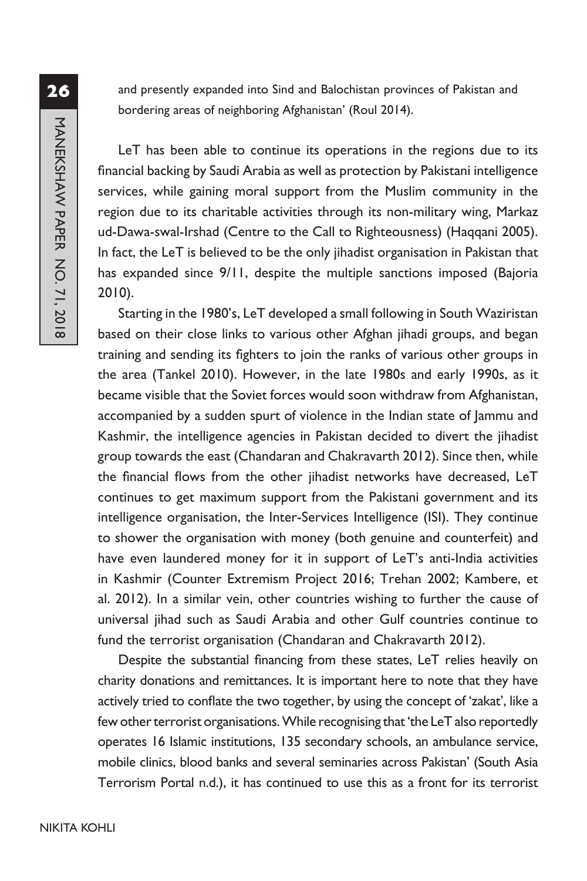and presently expanded into Sind and Balochistan provinces of Pakistan and bordering areas of neighboring Afghanistan' (Roul 2014).

LeT has been able to continue its operations in the regions due to its financial backing by Saudi Arabia as well as protection by Pakistani intelligence services, while gaining moral support from the Muslim community in the region due to its charitable activities through its non-military wing, Markaz ud-Dawa-swal-Irshad (Centre to the Call to Righteousness) (Haqqani 2005). In fact, the LeT is believed to be the only jihadist organisation in Pakistan that has expanded since 9/11, despite the multiple sanctions imposed (Bajoria 2010).

Starting in the 1980's, LeT developed a small following in South Waziristan based on their close links to various other Afghan jihadi groups, and began training and sending its fighters to join the ranks of various other groups in the area (Tankel 2010). However, in the late 1980s and early 1990s, as it became visible that the Soviet forces would soon withdraw from Afghanistan, accompanied by a sudden spurt of violence in the Indian state of Jammu and Kashmir, the intelligence agencies in Pakistan decided to divert the jihadist group towards the east (Chandaran and Chakravarth 2012). Since then, while the financial flows from the other jihadist networks have decreased, LeT continues to get maximum support from the Pakistani government and its intelligence organisation, the Inter-Services Intelligence (ISI). They continue to shower the organisation with money (both genuine and counterfeit) and have even laundered money for it in support of LeT's anti-India activities in Kashmir (Counter Extremism Project 2016; Trehan 2002; Kambere, et al. 2012). In a similar vein, other countries wishing to further the cause of universal jihad such as Saudi Arabia and other Gulf countries continue to fund the terrorist organisation (Chandaran and Chakravarth 2012).

Despite the substantial financing from these states, LeT relies heavily on charity donations and remittances. It is important here to note that they have actively tried to conflate the two together, by using the concept of 'zakat', like a few other terrorist organisations. While recognising that 'the LeT also reportedly operates 16 Islamic institutions, 135 secondary schools, an ambulance service, mobile clinics, blood banks and several seminaries across Pakistan' (South Asia Terrorism Portal n.d.), it has continued to use this as a front for its terrorist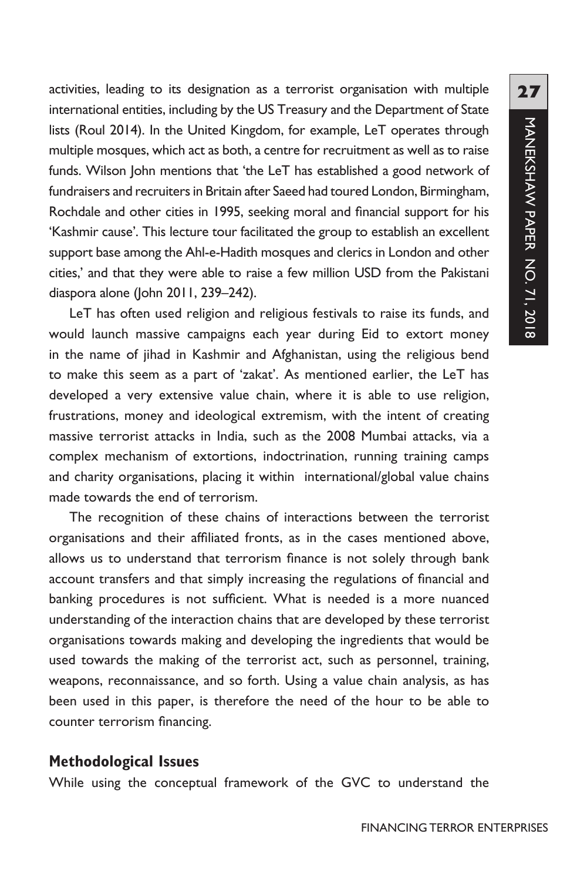activities, leading to its designation as a terrorist organisation with multiple international entities, including by the US Treasury and the Department of State lists (Roul 2014). In the United Kingdom, for example, LeT operates through multiple mosques, which act as both, a centre for recruitment as well as to raise funds. Wilson John mentions that 'the LeT has established a good network of fundraisers and recruiters in Britain after Saeed had toured London, Birmingham, Rochdale and other cities in 1995, seeking moral and financial support for his 'Kashmir cause'. This lecture tour facilitated the group to establish an excellent support base among the Ahl-e-Hadith mosques and clerics in London and other cities,' and that they were able to raise a few million USD from the Pakistani diaspora alone (John 2011, 239–242).

LeT has often used religion and religious festivals to raise its funds, and would launch massive campaigns each year during Eid to extort money in the name of jihad in Kashmir and Afghanistan, using the religious bend to make this seem as a part of 'zakat'. As mentioned earlier, the LeT has developed a very extensive value chain, where it is able to use religion, frustrations, money and ideological extremism, with the intent of creating massive terrorist attacks in India, such as the 2008 Mumbai attacks, via a complex mechanism of extortions, indoctrination, running training camps and charity organisations, placing it within international/global value chains made towards the end of terrorism.

The recognition of these chains of interactions between the terrorist organisations and their affiliated fronts, as in the cases mentioned above, allows us to understand that terrorism finance is not solely through bank account transfers and that simply increasing the regulations of financial and banking procedures is not sufficient. What is needed is a more nuanced understanding of the interaction chains that are developed by these terrorist organisations towards making and developing the ingredients that would be used towards the making of the terrorist act, such as personnel, training, weapons, reconnaissance, and so forth. Using a value chain analysis, as has been used in this paper, is therefore the need of the hour to be able to counter terrorism financing.

#### **Methodological Issues**

While using the conceptual framework of the GVC to understand the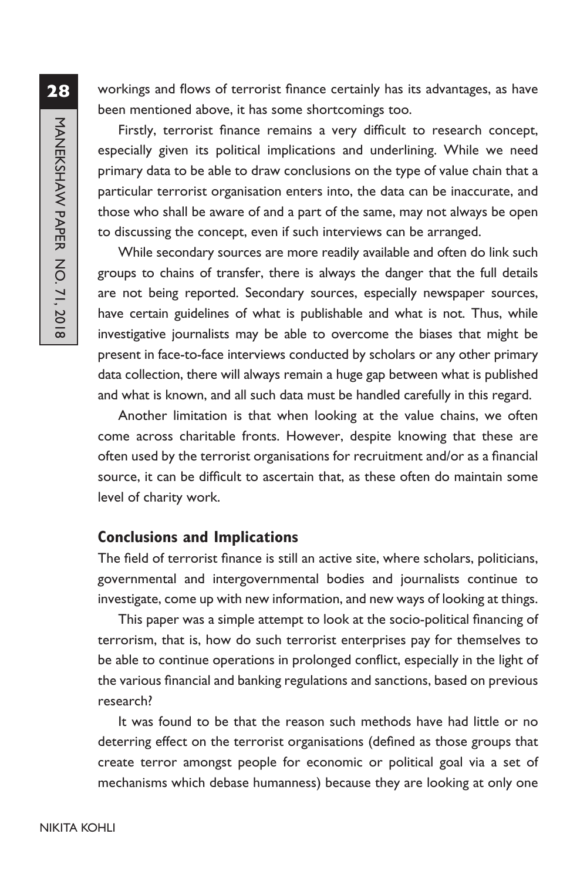workings and flows of terrorist finance certainly has its advantages, as have been mentioned above, it has some shortcomings too.

Firstly, terrorist finance remains a very difficult to research concept, especially given its political implications and underlining. While we need primary data to be able to draw conclusions on the type of value chain that a particular terrorist organisation enters into, the data can be inaccurate, and those who shall be aware of and a part of the same, may not always be open to discussing the concept, even if such interviews can be arranged.

While secondary sources are more readily available and often do link such groups to chains of transfer, there is always the danger that the full details are not being reported. Secondary sources, especially newspaper sources, have certain guidelines of what is publishable and what is not. Thus, while investigative journalists may be able to overcome the biases that might be present in face-to-face interviews conducted by scholars or any other primary data collection, there will always remain a huge gap between what is published and what is known, and all such data must be handled carefully in this regard.

Another limitation is that when looking at the value chains, we often come across charitable fronts. However, despite knowing that these are often used by the terrorist organisations for recruitment and/or as a financial source, it can be difficult to ascertain that, as these often do maintain some level of charity work.

### **Conclusions and Implications**

The field of terrorist finance is still an active site, where scholars, politicians, governmental and intergovernmental bodies and journalists continue to investigate, come up with new information, and new ways of looking at things.

This paper was a simple attempt to look at the socio-political financing of terrorism, that is, how do such terrorist enterprises pay for themselves to be able to continue operations in prolonged conflict, especially in the light of the various financial and banking regulations and sanctions, based on previous research?

It was found to be that the reason such methods have had little or no deterring effect on the terrorist organisations (defined as those groups that create terror amongst people for economic or political goal via a set of mechanisms which debase humanness) because they are looking at only one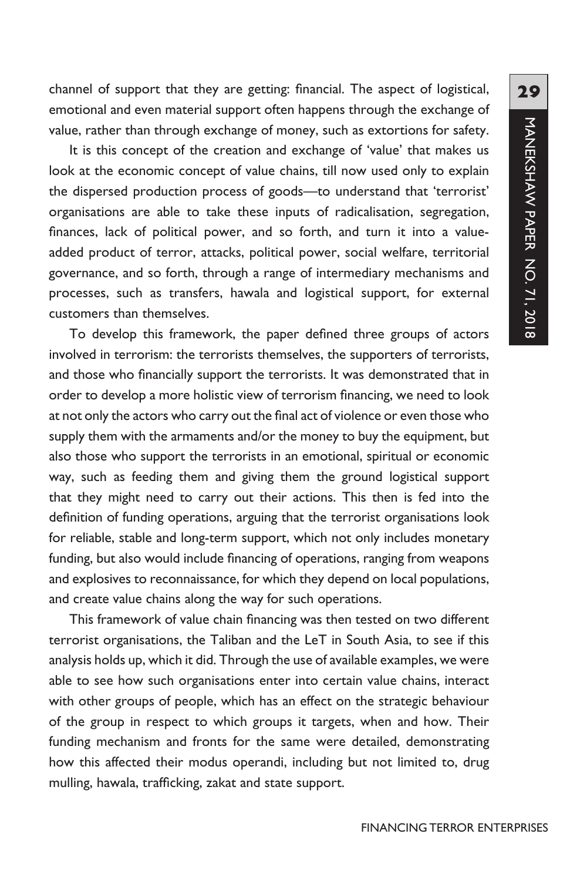channel of support that they are getting: financial. The aspect of logistical, emotional and even material support often happens through the exchange of value, rather than through exchange of money, such as extortions for safety.

It is this concept of the creation and exchange of 'value' that makes us look at the economic concept of value chains, till now used only to explain the dispersed production process of goods—to understand that 'terrorist' organisations are able to take these inputs of radicalisation, segregation, finances, lack of political power, and so forth, and turn it into a valueadded product of terror, attacks, political power, social welfare, territorial governance, and so forth, through a range of intermediary mechanisms and processes, such as transfers, hawala and logistical support, for external customers than themselves.

To develop this framework, the paper defined three groups of actors involved in terrorism: the terrorists themselves, the supporters of terrorists, and those who financially support the terrorists. It was demonstrated that in order to develop a more holistic view of terrorism financing, we need to look at not only the actors who carry out the final act of violence or even those who supply them with the armaments and/or the money to buy the equipment, but also those who support the terrorists in an emotional, spiritual or economic way, such as feeding them and giving them the ground logistical support that they might need to carry out their actions. This then is fed into the definition of funding operations, arguing that the terrorist organisations look for reliable, stable and long-term support, which not only includes monetary funding, but also would include financing of operations, ranging from weapons and explosives to reconnaissance, for which they depend on local populations, and create value chains along the way for such operations.

This framework of value chain financing was then tested on two different terrorist organisations, the Taliban and the LeT in South Asia, to see if this analysis holds up, which it did. Through the use of available examples, we were able to see how such organisations enter into certain value chains, interact with other groups of people, which has an effect on the strategic behaviour of the group in respect to which groups it targets, when and how. Their funding mechanism and fronts for the same were detailed, demonstrating how this affected their modus operandi, including but not limited to, drug mulling, hawala, trafficking, zakat and state support.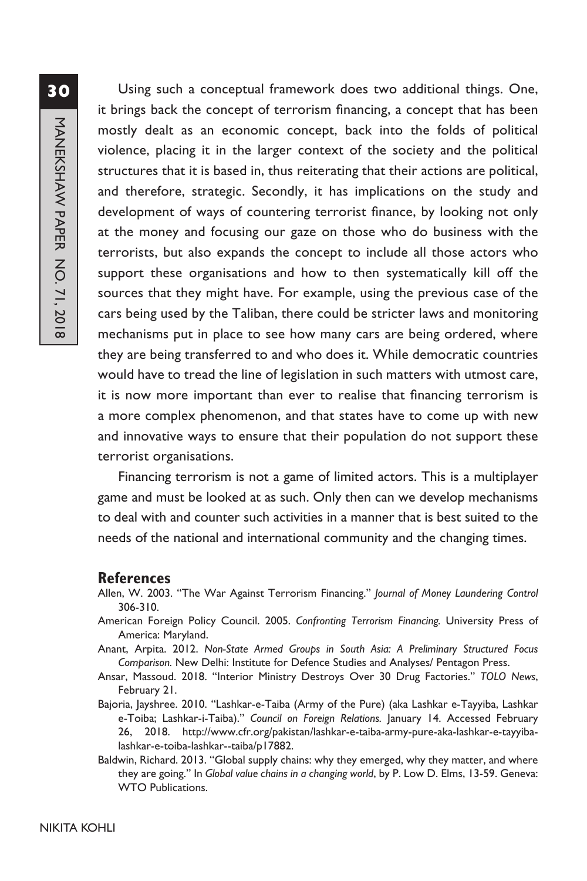Using such a conceptual framework does two additional things. One, it brings back the concept of terrorism financing, a concept that has been mostly dealt as an economic concept, back into the folds of political violence, placing it in the larger context of the society and the political structures that it is based in, thus reiterating that their actions are political, and therefore, strategic. Secondly, it has implications on the study and development of ways of countering terrorist finance, by looking not only at the money and focusing our gaze on those who do business with the terrorists, but also expands the concept to include all those actors who support these organisations and how to then systematically kill off the sources that they might have. For example, using the previous case of the cars being used by the Taliban, there could be stricter laws and monitoring mechanisms put in place to see how many cars are being ordered, where they are being transferred to and who does it. While democratic countries would have to tread the line of legislation in such matters with utmost care, it is now more important than ever to realise that financing terrorism is a more complex phenomenon, and that states have to come up with new and innovative ways to ensure that their population do not support these terrorist organisations.

Financing terrorism is not a game of limited actors. This is a multiplayer game and must be looked at as such. Only then can we develop mechanisms to deal with and counter such activities in a manner that is best suited to the needs of the national and international community and the changing times.

#### **References**

- Allen, W. 2003. "The War Against Terrorism Financing." *Journal of Money Laundering Control* 306-310.
- American Foreign Policy Council. 2005. *Confronting Terrorism Financing.* University Press of America: Maryland.
- Anant, Arpita. 2012. *Non-State Armed Groups in South Asia: A Preliminary Structured Focus Comparison.* New Delhi: Institute for Defence Studies and Analyses/ Pentagon Press.
- Ansar, Massoud. 2018. "Interior Ministry Destroys Over 30 Drug Factories." *TOLO News*, February 21.
- Bajoria, Jayshree. 2010. "Lashkar-e-Taiba (Army of the Pure) (aka Lashkar e-Tayyiba, Lashkar e-Toiba; Lashkar-i-Taiba)." *Council on Foreign Relations.* January 14. Accessed February 26, 2018. http://www.cfr.org/pakistan/lashkar-e-taiba-army-pure-aka-lashkar-e-tayyibalashkar-e-toiba-lashkar--taiba/p17882.
- Baldwin, Richard. 2013. "Global supply chains: why they emerged, why they matter, and where they are going." In *Global value chains in a changing world*, by P. Low D. Elms, 13-59. Geneva: WTO Publications.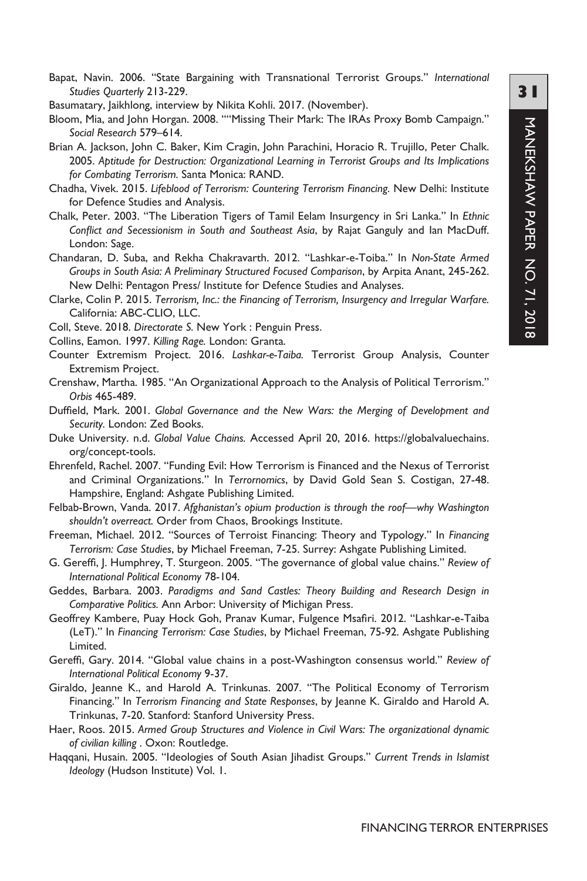Bapat, Navin. 2006. "State Bargaining with Transnational Terrorist Groups." *International Studies Quarterly* 213-229.

Basumatary, Jaikhlong, interview by Nikita Kohli. 2017. (November).

Bloom, Mia, and John Horgan. 2008. ""Missing Their Mark: The IRAs Proxy Bomb Campaign." *Social Research* 579–614.

- Brian A. Jackson, John C. Baker, Kim Cragin, John Parachini, Horacio R. Trujillo, Peter Chalk. 2005. *Aptitude for Destruction: Organizational Learning in Terrorist Groups and Its Implications for Combating Terrorism.* Santa Monica: RAND.
- Chadha, Vivek. 2015. *Lifeblood of Terrorism: Countering Terrorism Financing.* New Delhi: Institute for Defence Studies and Analysis.
- Chalk, Peter. 2003. "The Liberation Tigers of Tamil Eelam Insurgency in Sri Lanka." In *Ethnic Conflict and Secessionism in South and Southeast Asia*, by Rajat Ganguly and Ian MacDuff. London: Sage.
- Chandaran, D. Suba, and Rekha Chakravarth. 2012. "Lashkar-e-Toiba." In *Non-State Armed Groups in South Asia: A Preliminary Structured Focused Comparison*, by Arpita Anant, 245-262. New Delhi: Pentagon Press/ Institute for Defence Studies and Analyses.
- Clarke, Colin P. 2015. *Terrorism, Inc.: the Financing of Terrorism, Insurgency and Irregular Warfare.* California: ABC-CLIO, LLC.
- Coll, Steve. 2018. *Directorate S.* New York : Penguin Press.
- Collins, Eamon. 1997. *Killing Rage.* London: Granta.
- Counter Extremism Project. 2016. *Lashkar-e-Taiba.* Terrorist Group Analysis, Counter Extremism Project.
- Crenshaw, Martha. 1985. "An Organizational Approach to the Analysis of Political Terrorism." *Orbis* 465-489.
- Duffield, Mark. 2001. *Global Governance and the New Wars: the Merging of Development and Security.* London: Zed Books.
- Duke University. n.d. *Global Value Chains.* Accessed April 20, 2016. https://globalvaluechains. org/concept-tools.
- Ehrenfeld, Rachel. 2007. "Funding Evil: How Terrorism is Financed and the Nexus of Terrorist and Criminal Organizations." In *Terrornomics*, by David Gold Sean S. Costigan, 27-48. Hampshire, England: Ashgate Publishing Limited.
- Felbab-Brown, Vanda. 2017. *Afghanistan's opium production is through the roof—why Washington shouldn't overreact.* Order from Chaos, Brookings Institute.
- Freeman, Michael. 2012. "Sources of Terroist Financing: Theory and Typology." In *Financing Terrorism: Case Studies*, by Michael Freeman, 7-25. Surrey: Ashgate Publishing Limited.
- G. Gereffi, J. Humphrey, T. Sturgeon. 2005. "The governance of global value chains." *Review of International Political Economy* 78-104.
- Geddes, Barbara. 2003. *Paradigms and Sand Castles: Theory Building and Research Design in Comparative Politics.* Ann Arbor: University of Michigan Press.
- Geoffrey Kambere, Puay Hock Goh, Pranav Kumar, Fulgence Msafiri. 2012. "Lashkar-e-Taiba (LeT)." In *Financing Terrorism: Case Studies*, by Michael Freeman, 75-92. Ashgate Publishing Limited.
- Gereffi, Gary. 2014. "Global value chains in a post-Washington consensus world." *Review of International Political Economy* 9-37.
- Giraldo, Jeanne K., and Harold A. Trinkunas. 2007. "The Political Economy of Terrorism Financing." In *Terrorism Financing and State Responses*, by Jeanne K. Giraldo and Harold A. Trinkunas, 7-20. Stanford: Stanford University Press.
- Haer, Roos. 2015. *Armed Group Structures and Violence in Civil Wars: The organizational dynamic of civilian killing .* Oxon: Routledge.
- Haqqani, Husain. 2005. "Ideologies of South Asian Jihadist Groups." *Current Trends in Islamist Ideology* (Hudson Institute) Vol. 1.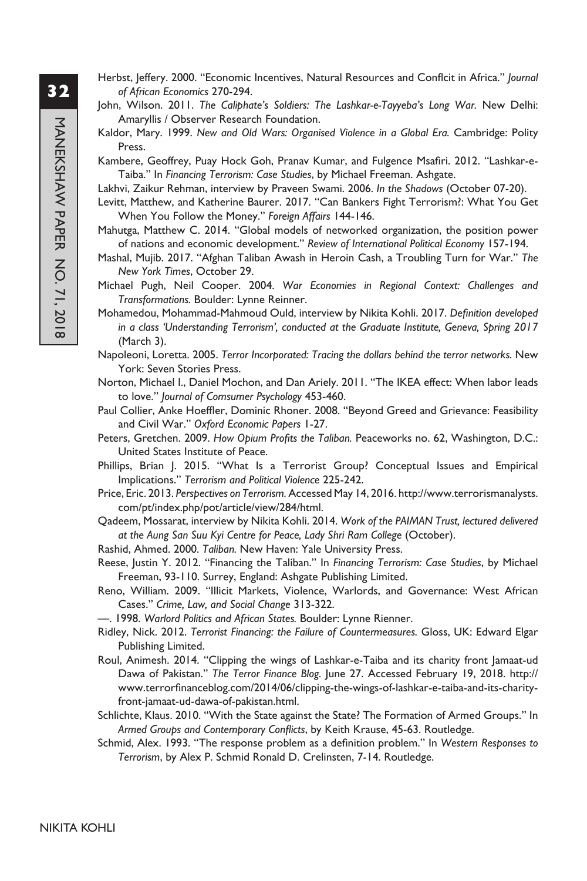- Herbst, Jeffery. 2000. "Economic Incentives, Natural Resources and Conflcit in Africa." *Journal of African Economics* 270-294.
- John, Wilson. 2011. *The Caliphate's Soldiers: The Lashkar-e-Tayyeba's Long War.* New Delhi: Amaryllis / Observer Research Foundation.
- Kaldor, Mary. 1999. *New and Old Wars: Organised Violence in a Global Era.* Cambridge: Polity Press.
- Kambere, Geoffrey, Puay Hock Goh, Pranav Kumar, and Fulgence Msafiri. 2012. "Lashkar-e-Taiba." In *Financing Terrorism: Case Studies*, by Michael Freeman. Ashgate.
- Lakhvi, Zaikur Rehman, interview by Praveen Swami. 2006. *In the Shadows* (October 07-20).
- Levitt, Matthew, and Katherine Baurer. 2017. "Can Bankers Fight Terrorism?: What You Get When You Follow the Money." *Foreign Affairs* 144-146.
- Mahutga, Matthew C. 2014. "Global models of networked organization, the position power of nations and economic development." *Review of International Political Economy* 157-194.
- Mashal, Mujib. 2017. "Afghan Taliban Awash in Heroin Cash, a Troubling Turn for War." *The New York Times*, October 29.
- Michael Pugh, Neil Cooper. 2004. *War Economies in Regional Context: Challenges and Transformations.* Boulder: Lynne Reinner.
- Mohamedou, Mohammad-Mahmoud Ould, interview by Nikita Kohli. 2017. *Definition developed in a class 'Understanding Terrorism', conducted at the Graduate Institute, Geneva, Spring 2017*  (March 3).
- Napoleoni, Loretta. 2005. *Terror Incorporated: Tracing the dollars behind the terror networks.* New York: Seven Stories Press.
- Norton, Michael I., Daniel Mochon, and Dan Ariely. 2011. "The IKEA effect: When labor leads to love." *Journal of Comsumer Psychology* 453-460.
- Paul Collier, Anke Hoeffler, Dominic Rhoner. 2008. "Beyond Greed and Grievance: Feasibility and Civil War." *Oxford Economic Papers* 1-27.
- Peters, Gretchen. 2009. *How Opium Profits the Taliban.* Peaceworks no. 62, Washington, D.C.: United States Institute of Peace.
- Phillips, Brian J. 2015. "What Is a Terrorist Group? Conceptual Issues and Empirical Implications." *Terrorism and Political Violence* 225-242.
- Price, Eric. 2013. *Perspectives on Terrorism.* Accessed May 14, 2016. http://www.terrorismanalysts. com/pt/index.php/pot/article/view/284/html.
- Qadeem, Mossarat, interview by Nikita Kohli. 2014. *Work of the PAIMAN Trust, lectured delivered at the Aung San Suu Kyi Centre for Peace, Lady Shri Ram College* (October).
- Rashid, Ahmed. 2000. *Taliban.* New Haven: Yale University Press.
- Reese, Justin Y. 2012. "Financing the Taliban." In *Financing Terrorism: Case Studies*, by Michael Freeman, 93-110. Surrey, England: Ashgate Publishing Limited.
- Reno, William. 2009. "Illicit Markets, Violence, Warlords, and Governance: West African Cases." *Crime, Law, and Social Change* 313-322.
- —. 1998. *Warlord Politics and African States.* Boulder: Lynne Rienner.
- Ridley, Nick. 2012. *Terrorist Financing: the Failure of Countermeasures.* Gloss, UK: Edward Elgar Publishing Limited.
- Roul, Animesh. 2014. "Clipping the wings of Lashkar-e-Taiba and its charity front Jamaat-ud Dawa of Pakistan." *The Terror Finance Blog.* June 27. Accessed February 19, 2018. http:// www.terrorfinanceblog.com/2014/06/clipping-the-wings-of-lashkar-e-taiba-and-its-charityfront-jamaat-ud-dawa-of-pakistan.html.
- Schlichte, Klaus. 2010. "With the State against the State? The Formation of Armed Groups." In *Armed Groups and Contemporary Conflicts*, by Keith Krause, 45-63. Routledge.
- Schmid, Alex. 1993. "The response problem as a definition problem." In *Western Responses to Terrorism*, by Alex P. Schmid Ronald D. Crelinsten, 7-14. Routledge.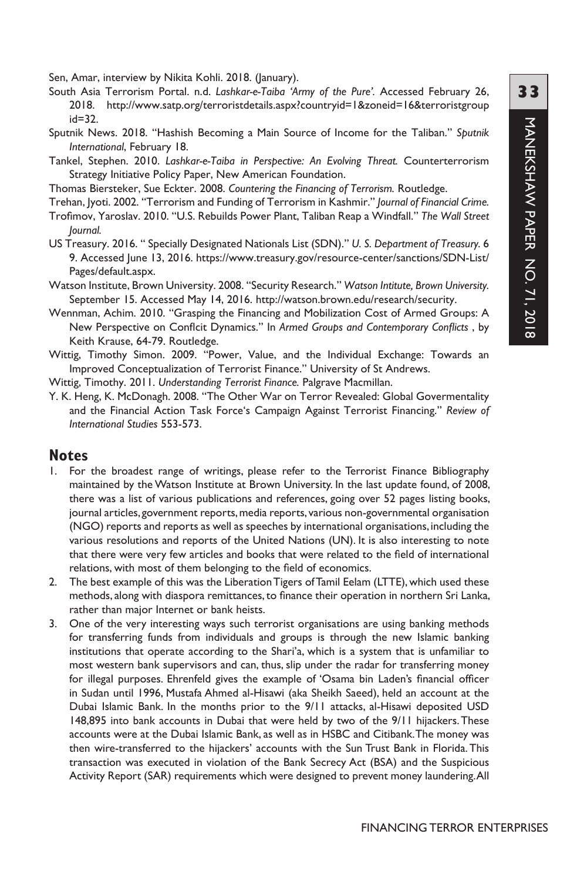Sen, Amar, interview by Nikita Kohli. 2018. (January).

- South Asia Terrorism Portal. n.d. *Lashkar-e-Taiba 'Army of the Pure'.* Accessed February 26, 2018. http://www.satp.org/terroristdetails.aspx?countryid=1&zoneid=16&terroristgroup id=32.
- Sputnik News. 2018. "Hashish Becoming a Main Source of Income for the Taliban." *Sputnik International*, February 18.
- Tankel, Stephen. 2010. *Lashkar-e-Taiba in Perspective: An Evolving Threat.* Counterterrorism Strategy Initiative Policy Paper, New American Foundation.
- Thomas Biersteker, Sue Eckter. 2008. *Countering the Financing of Terrorism.* Routledge.
- Trehan, Jyoti. 2002. "Terrorism and Funding of Terrorism in Kashmir." *Journal of Financial Crime.*
- Trofimov, Yaroslav. 2010. "U.S. Rebuilds Power Plant, Taliban Reap a Windfall." *The Wall Street Journal.*
- US Treasury. 2016. " Specially Designated Nationals List (SDN)." *U. S. Department of Treasury.* 6 9. Accessed June 13, 2016. https://www.treasury.gov/resource-center/sanctions/SDN-List/ Pages/default.aspx.
- Watson Institute, Brown University. 2008. "Security Research." *Watson Intitute, Brown University.* September 15. Accessed May 14, 2016. http://watson.brown.edu/research/security.
- Wennman, Achim. 2010. "Grasping the Financing and Mobilization Cost of Armed Groups: A New Perspective on Conflcit Dynamics." In *Armed Groups and Contemporary Conflicts* , by Keith Krause, 64-79. Routledge.
- Wittig, Timothy Simon. 2009. "Power, Value, and the Individual Exchange: Towards an Improved Conceptualization of Terrorist Finance." University of St Andrews.
- Wittig, Timothy. 2011. *Understanding Terrorist Finance.* Palgrave Macmillan.
- Y. K. Heng, K. McDonagh. 2008. "The Other War on Terror Revealed: Global Govermentality and the Financial Action Task Force's Campaign Against Terrorist Financing." *Review of International Studies* 553-573.

#### **Notes**

- 1. For the broadest range of writings, please refer to the Terrorist Finance Bibliography maintained by the Watson Institute at Brown University. In the last update found, of 2008, there was a list of various publications and references, going over 52 pages listing books, journal articles, government reports, media reports, various non-governmental organisation (NGO) reports and reports as well as speeches by international organisations, including the various resolutions and reports of the United Nations (UN). It is also interesting to note that there were very few articles and books that were related to the field of international relations, with most of them belonging to the field of economics.
- 2. The best example of this was the Liberation Tigers of Tamil Eelam (LTTE), which used these methods, along with diaspora remittances, to finance their operation in northern Sri Lanka, rather than major Internet or bank heists.
- 3. One of the very interesting ways such terrorist organisations are using banking methods for transferring funds from individuals and groups is through the new Islamic banking institutions that operate according to the Shari'a, which is a system that is unfamiliar to most western bank supervisors and can, thus, slip under the radar for transferring money for illegal purposes. Ehrenfeld gives the example of 'Osama bin Laden's financial officer in Sudan until 1996, Mustafa Ahmed al-Hisawi (aka Sheikh Saeed), held an account at the Dubai Islamic Bank. In the months prior to the 9/11 attacks, al-Hisawi deposited USD 148,895 into bank accounts in Dubai that were held by two of the 9/11 hijackers.These accounts were at the Dubai Islamic Bank, as well as in HSBC and Citibank.The money was then wire-transferred to the hijackers' accounts with the Sun Trust Bank in Florida.This transaction was executed in violation of the Bank Secrecy Act (BSA) and the Suspicious Activity Report (SAR) requirements which were designed to prevent money laundering.All